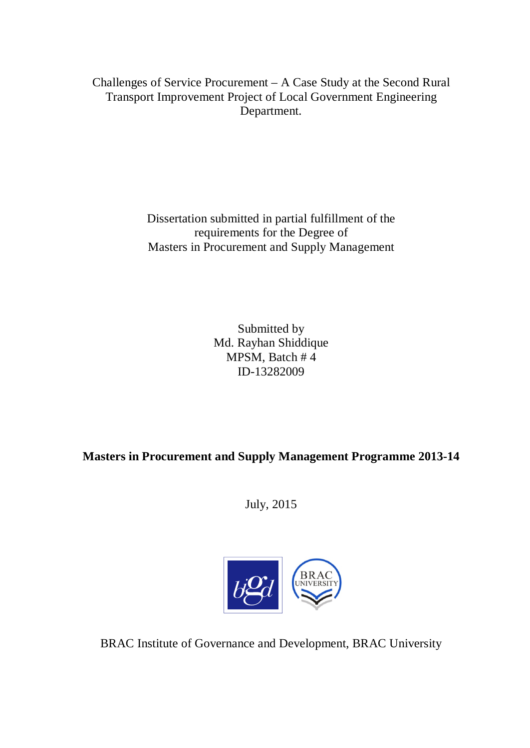Challenges of Service Procurement – A Case Study at the Second Rural Transport Improvement Project of Local Government Engineering Department.

> Dissertation submitted in partial fulfillment of the requirements for the Degree of Masters in Procurement and Supply Management

> > Submitted by Md. Rayhan Shiddique MPSM, Batch # 4 ID-13282009

**Masters in Procurement and Supply Management Programme 2013-14**

July, 2015



BRAC Institute of Governance and Development, BRAC University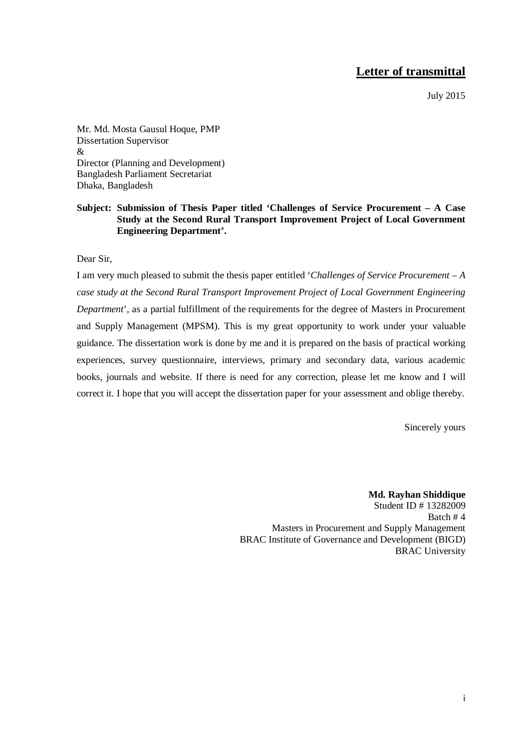# **Letter of transmittal**

July 2015

Mr. Md. Mosta Gausul Hoque, PMP Dissertation Supervisor & Director (Planning and Development) Bangladesh Parliament Secretariat Dhaka, Bangladesh

## **Subject: Submission of Thesis Paper titled 'Challenges of Service Procurement – A Case Study at the Second Rural Transport Improvement Project of Local Government Engineering Department'.**

Dear Sir,

I am very much pleased to submit the thesis paper entitled '*Challenges of Service Procurement – A case study at the Second Rural Transport Improvement Project of Local Government Engineering Department*', as a partial fulfillment of the requirements for the degree of Masters in Procurement and Supply Management (MPSM). This is my great opportunity to work under your valuable guidance. The dissertation work is done by me and it is prepared on the basis of practical working experiences, survey questionnaire, interviews, primary and secondary data, various academic books, journals and website. If there is need for any correction, please let me know and I will correct it. I hope that you will accept the dissertation paper for your assessment and oblige thereby.

Sincerely yours

**Md. Rayhan Shiddique**  Student ID # 13282009 Batch # 4 Masters in Procurement and Supply Management BRAC Institute of Governance and Development (BIGD) BRAC University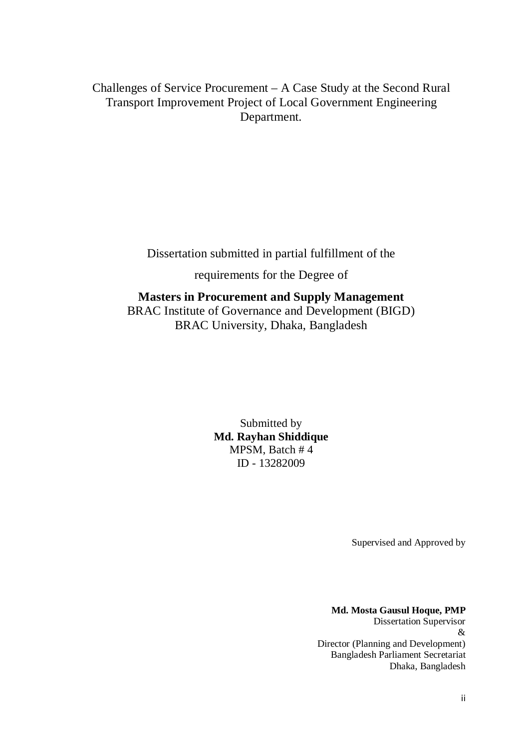Challenges of Service Procurement – A Case Study at the Second Rural Transport Improvement Project of Local Government Engineering Department.

Dissertation submitted in partial fulfillment of the

requirements for the Degree of

# **Masters in Procurement and Supply Management** BRAC Institute of Governance and Development (BIGD) BRAC University, Dhaka, Bangladesh

Submitted by **Md. Rayhan Shiddique** MPSM, Batch # 4 ID - 13282009

Supervised and Approved by

**Md. Mosta Gausul Hoque, PMP** Dissertation Supervisor & Director (Planning and Development) Bangladesh Parliament Secretariat Dhaka, Bangladesh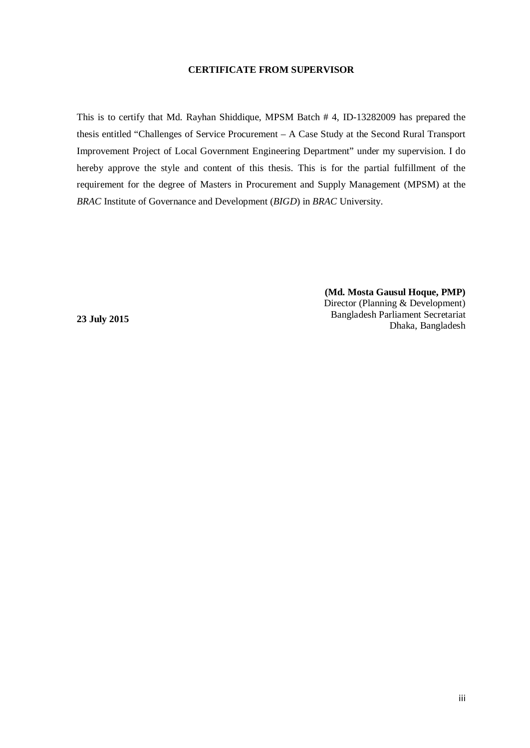#### **CERTIFICATE FROM SUPERVISOR**

<span id="page-3-0"></span>This is to certify that Md. Rayhan Shiddique, MPSM Batch # 4, ID-13282009 has prepared the thesis entitled "Challenges of Service Procurement – A Case Study at the Second Rural Transport Improvement Project of Local Government Engineering Department" under my supervision. I do hereby approve the style and content of this thesis. This is for the partial fulfillment of the requirement for the degree of Masters in Procurement and Supply Management (MPSM) at the *BRAC* Institute of Governance and Development (*BIGD*) in *BRAC* University.

> **(Md. Mosta Gausul Hoque, PMP)** Director (Planning & Development) Bangladesh Parliament Secretariat Dhaka, Bangladesh

**23 July 2015**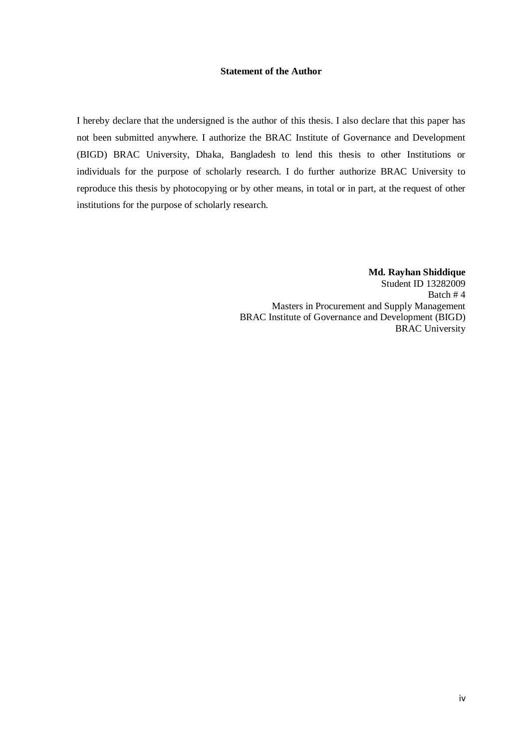## **Statement of the Author**

<span id="page-4-0"></span>I hereby declare that the undersigned is the author of this thesis. I also declare that this paper has not been submitted anywhere. I authorize the BRAC Institute of Governance and Development (BIGD) BRAC University, Dhaka, Bangladesh to lend this thesis to other Institutions or individuals for the purpose of scholarly research. I do further authorize BRAC University to reproduce this thesis by photocopying or by other means, in total or in part, at the request of other institutions for the purpose of scholarly research.

> **Md. Rayhan Shiddique**  Student ID 13282009 Batch # 4 Masters in Procurement and Supply Management BRAC Institute of Governance and Development (BIGD) BRAC University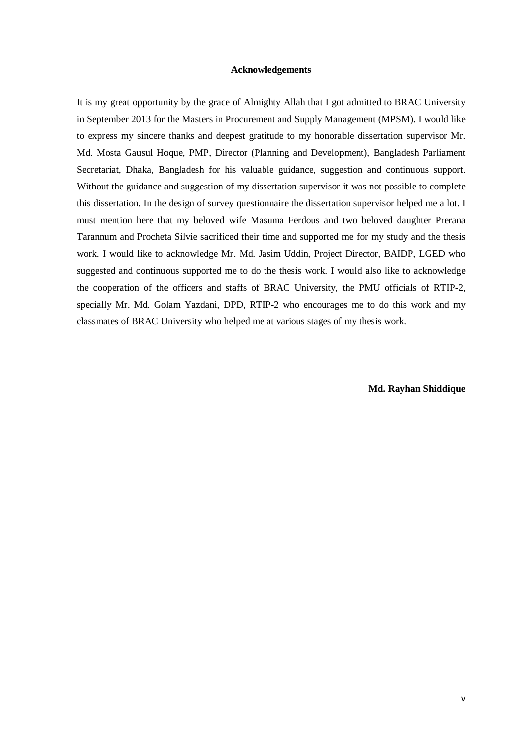#### **Acknowledgements**

<span id="page-5-0"></span>It is my great opportunity by the grace of Almighty Allah that I got admitted to BRAC University in September 2013 for the Masters in Procurement and Supply Management (MPSM). I would like to express my sincere thanks and deepest gratitude to my honorable dissertation supervisor Mr. Md. Mosta Gausul Hoque, PMP, Director (Planning and Development), Bangladesh Parliament Secretariat, Dhaka, Bangladesh for his valuable guidance, suggestion and continuous support. Without the guidance and suggestion of my dissertation supervisor it was not possible to complete this dissertation. In the design of survey questionnaire the dissertation supervisor helped me a lot. I must mention here that my beloved wife Masuma Ferdous and two beloved daughter Prerana Tarannum and Procheta Silvie sacrificed their time and supported me for my study and the thesis work. I would like to acknowledge Mr. Md. Jasim Uddin, Project Director, BAIDP, LGED who suggested and continuous supported me to do the thesis work. I would also like to acknowledge the cooperation of the officers and staffs of BRAC University, the PMU officials of RTIP-2, specially Mr. Md. Golam Yazdani, DPD, RTIP-2 who encourages me to do this work and my classmates of BRAC University who helped me at various stages of my thesis work.

**Md. Rayhan Shiddique**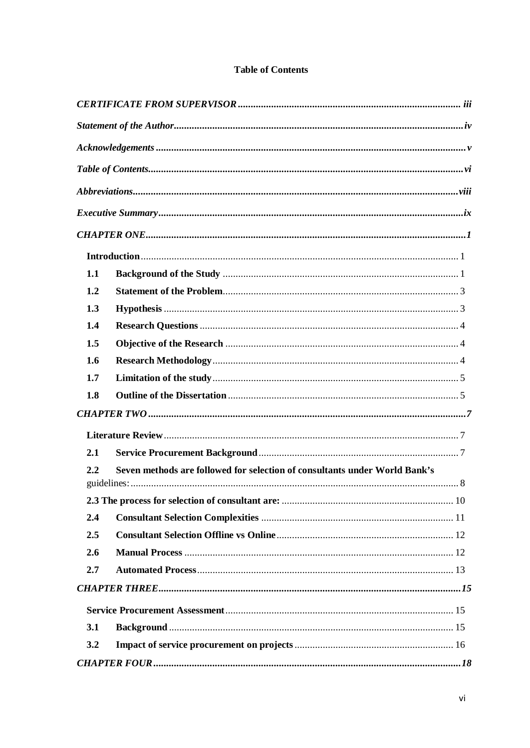<span id="page-6-0"></span>

| 1.1 |                                                                            |  |
|-----|----------------------------------------------------------------------------|--|
| 1.2 |                                                                            |  |
| 1.3 |                                                                            |  |
| 1.4 |                                                                            |  |
| 1.5 |                                                                            |  |
| 1.6 |                                                                            |  |
| 1.7 |                                                                            |  |
| 1.8 |                                                                            |  |
|     |                                                                            |  |
|     |                                                                            |  |
| 2.1 |                                                                            |  |
| 2.2 | Seven methods are followed for selection of consultants under World Bank's |  |
|     |                                                                            |  |
| 2.4 |                                                                            |  |
| 2.5 |                                                                            |  |
| 2.6 |                                                                            |  |
| 2.7 |                                                                            |  |
|     |                                                                            |  |
|     |                                                                            |  |
|     |                                                                            |  |
| 3.1 |                                                                            |  |
| 3.2 |                                                                            |  |
|     |                                                                            |  |

## **Table of Contents**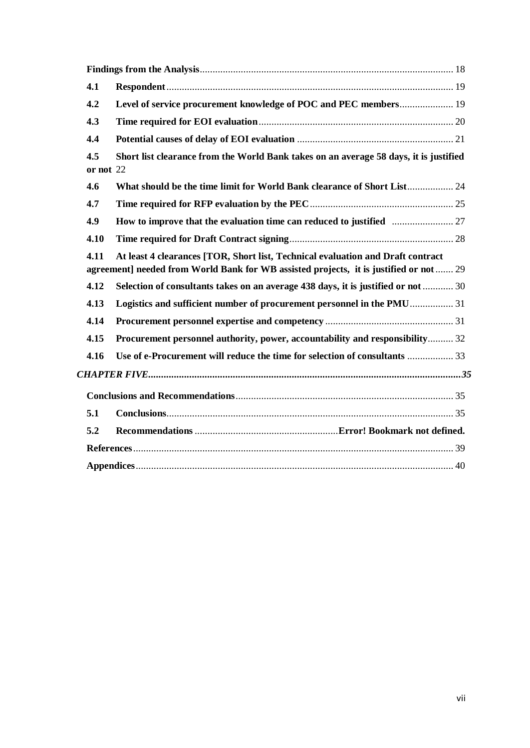| 4.1              |                                                                                                                                                                           |
|------------------|---------------------------------------------------------------------------------------------------------------------------------------------------------------------------|
| 4.2              | Level of service procurement knowledge of POC and PEC members 19                                                                                                          |
| 4.3              |                                                                                                                                                                           |
| 4.4              |                                                                                                                                                                           |
| 4.5<br>or not 22 | Short list clearance from the World Bank takes on an average 58 days, it is justified                                                                                     |
| 4.6              | What should be the time limit for World Bank clearance of Short List 24                                                                                                   |
| 4.7              |                                                                                                                                                                           |
| 4.9              |                                                                                                                                                                           |
| 4.10             |                                                                                                                                                                           |
| 4.11             | At least 4 clearances [TOR, Short list, Technical evaluation and Draft contract<br>agreement] needed from World Bank for WB assisted projects, it is justified or not  29 |
| 4.12             | Selection of consultants takes on an average 438 days, it is justified or not  30                                                                                         |
| 4.13             | Logistics and sufficient number of procurement personnel in the PMU 31                                                                                                    |
| 4.14             |                                                                                                                                                                           |
| 4.15             | Procurement personnel authority, power, accountability and responsibility 32                                                                                              |
| 4.16             | Use of e-Procurement will reduce the time for selection of consultants  33                                                                                                |
|                  |                                                                                                                                                                           |
|                  |                                                                                                                                                                           |
| 5.1              |                                                                                                                                                                           |
| 5.2              |                                                                                                                                                                           |
|                  |                                                                                                                                                                           |
|                  |                                                                                                                                                                           |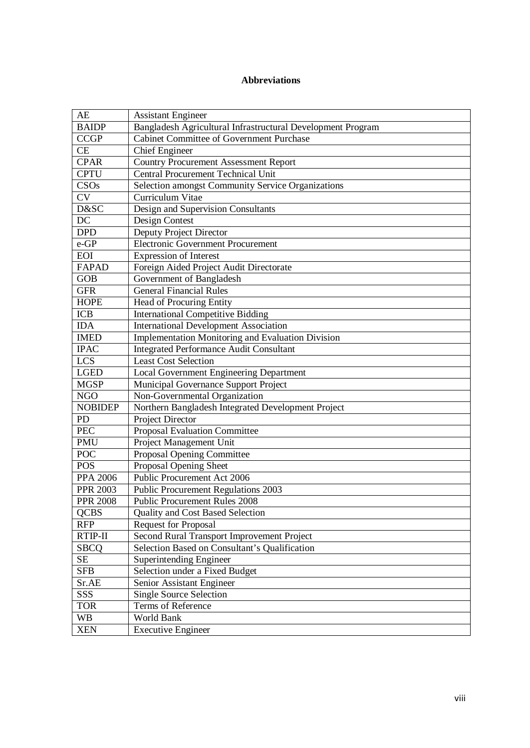## **Abbreviations**

<span id="page-8-0"></span>

| AE              | <b>Assistant Engineer</b>                                   |
|-----------------|-------------------------------------------------------------|
| <b>BAIDP</b>    | Bangladesh Agricultural Infrastructural Development Program |
| <b>CCGP</b>     | <b>Cabinet Committee of Government Purchase</b>             |
| <b>CE</b>       | <b>Chief Engineer</b>                                       |
| <b>CPAR</b>     | <b>Country Procurement Assessment Report</b>                |
| <b>CPTU</b>     | <b>Central Procurement Technical Unit</b>                   |
| CSOs            | Selection amongst Community Service Organizations           |
| <b>CV</b>       | Curriculum Vitae                                            |
| D&SC            | Design and Supervision Consultants                          |
| $\overline{DC}$ | Design Contest                                              |
| <b>DPD</b>      | Deputy Project Director                                     |
| e-GP            | <b>Electronic Government Procurement</b>                    |
| <b>EOI</b>      | <b>Expression of Interest</b>                               |
| <b>FAPAD</b>    | Foreign Aided Project Audit Directorate                     |
| <b>GOB</b>      | Government of Bangladesh                                    |
| <b>GFR</b>      | <b>General Financial Rules</b>                              |
| <b>HOPE</b>     | Head of Procuring Entity                                    |
| <b>ICB</b>      | <b>International Competitive Bidding</b>                    |
| <b>IDA</b>      | <b>International Development Association</b>                |
| <b>IMED</b>     | Implementation Monitoring and Evaluation Division           |
| <b>IPAC</b>     | <b>Integrated Performance Audit Consultant</b>              |
| <b>LCS</b>      | <b>Least Cost Selection</b>                                 |
| <b>LGED</b>     | Local Government Engineering Department                     |
| <b>MGSP</b>     | Municipal Governance Support Project                        |
| <b>NGO</b>      | Non-Governmental Organization                               |
| <b>NOBIDEP</b>  | Northern Bangladesh Integrated Development Project          |
| PD              | <b>Project Director</b>                                     |
| <b>PEC</b>      | <b>Proposal Evaluation Committee</b>                        |
| <b>PMU</b>      | Project Management Unit                                     |
| POC             | Proposal Opening Committee                                  |
| <b>POS</b>      | Proposal Opening Sheet                                      |
| <b>PPA 2006</b> | <b>Public Procurement Act 2006</b>                          |
| <b>PPR 2003</b> | <b>Public Procurement Regulations 2003</b>                  |
| <b>PPR 2008</b> | <b>Public Procurement Rules 2008</b>                        |
| <b>QCBS</b>     | <b>Quality and Cost Based Selection</b>                     |
| <b>RFP</b>      | <b>Request for Proposal</b>                                 |
| RTIP-II         | Second Rural Transport Improvement Project                  |
| <b>SBCQ</b>     | Selection Based on Consultant's Qualification               |
| <b>SE</b>       | <b>Superintending Engineer</b>                              |
| <b>SFB</b>      | Selection under a Fixed Budget                              |
| Sr.AE           | Senior Assistant Engineer                                   |
| SSS             | <b>Single Source Selection</b>                              |
| <b>TOR</b>      | Terms of Reference                                          |
| <b>WB</b>       | World Bank                                                  |
| <b>XEN</b>      | <b>Executive Engineer</b>                                   |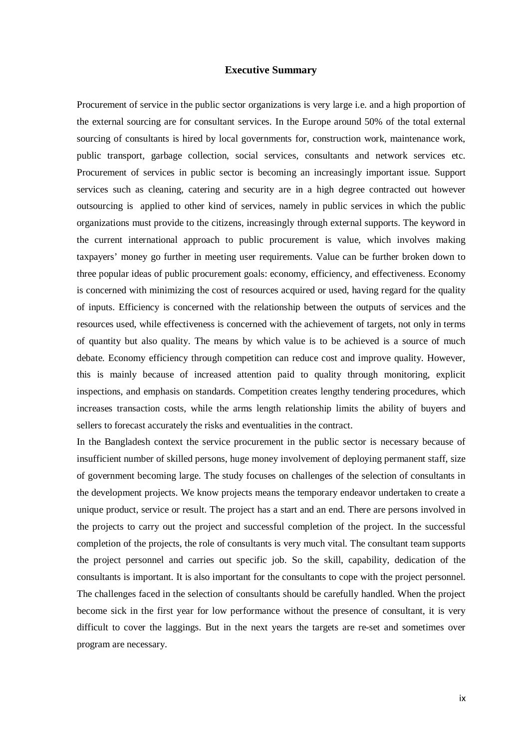## **Executive Summary**

<span id="page-9-0"></span>Procurement of service in the public sector organizations is very large i.e. and a high proportion of the external sourcing are for consultant services. In the Europe around 50% of the total external sourcing of consultants is hired by local governments for, construction work, maintenance work, public transport, garbage collection, social services, consultants and network services etc. Procurement of services in public sector is becoming an increasingly important issue. Support services such as cleaning, catering and security are in a high degree contracted out however outsourcing is applied to other kind of services, namely in public services in which the public organizations must provide to the citizens, increasingly through external supports. The keyword in the current international approach to public procurement is value, which involves making taxpayers' money go further in meeting user requirements. Value can be further broken down to three popular ideas of public procurement goals: economy, efficiency, and effectiveness. Economy is concerned with minimizing the cost of resources acquired or used, having regard for the quality of inputs. Efficiency is concerned with the relationship between the outputs of services and the resources used, while effectiveness is concerned with the achievement of targets, not only in terms of quantity but also quality. The means by which value is to be achieved is a source of much debate. Economy efficiency through competition can reduce cost and improve quality. However, this is mainly because of increased attention paid to quality through monitoring, explicit inspections, and emphasis on standards. Competition creates lengthy tendering procedures, which increases transaction costs, while the arms length relationship limits the ability of buyers and sellers to forecast accurately the risks and eventualities in the contract.

In the Bangladesh context the service procurement in the public sector is necessary because of insufficient number of skilled persons, huge money involvement of deploying permanent staff, size of government becoming large. The study focuses on challenges of the selection of consultants in the development projects. We know projects means the temporary endeavor undertaken to create a unique product, service or result. The project has a start and an end. There are persons involved in the projects to carry out the project and successful completion of the project. In the successful completion of the projects, the role of consultants is very much vital. The consultant team supports the project personnel and carries out specific job. So the skill, capability, dedication of the consultants is important. It is also important for the consultants to cope with the project personnel. The challenges faced in the selection of consultants should be carefully handled. When the project become sick in the first year for low performance without the presence of consultant, it is very difficult to cover the laggings. But in the next years the targets are re-set and sometimes over program are necessary.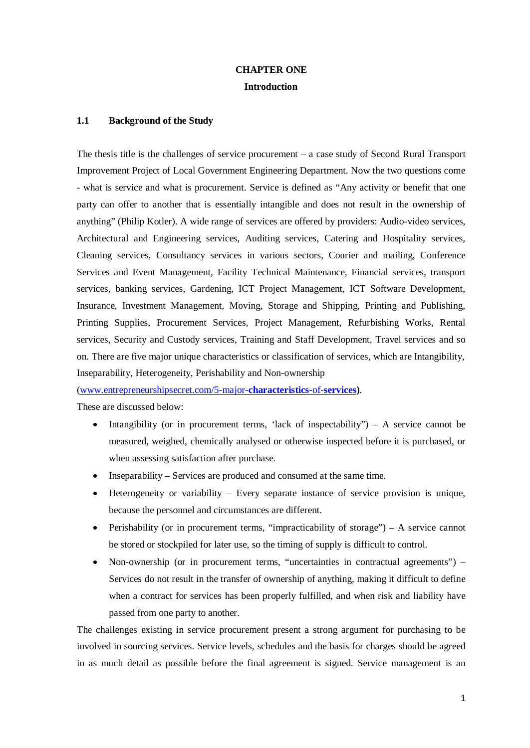## **CHAPTER ONE Introduction**

#### <span id="page-10-2"></span><span id="page-10-1"></span><span id="page-10-0"></span>**1.1 Background of the Study**

The thesis title is the challenges of service procurement – a case study of Second Rural Transport Improvement Project of Local Government Engineering Department. Now the two questions come - what is service and what is procurement. Service is defined as "Any activity or benefit that one party can offer to another that is essentially intangible and does not result in the ownership of anything" (Philip Kotler). A wide range of services are offered by providers: Audio-video services, Architectural and Engineering services, Auditing services, Catering and Hospitality services, Cleaning services, Consultancy services in various sectors, Courier and mailing, Conference Services and Event Management, Facility Technical Maintenance, Financial services, transport services, banking services, Gardening, ICT Project Management, ICT Software Development, Insurance, Investment Management, Moving, Storage and Shipping, Printing and Publishing, Printing Supplies, Procurement Services, Project Management, Refurbishing Works, Rental services, Security and Custody services, Training and Staff Development, Travel services and so on. There are five major unique characteristics or classification of services, which are Intangibility, Inseparability, Heterogeneity, Perishability and Non-ownership

[\(www.entrepreneurshipsecret.com/5-major-](http://www.entrepreneurshipsecret.com/5-major-characteristics-of-services)**characteristics**-of-**services)**.

These are discussed below:

- Intangibility (or in procurement terms, 'lack of inspectability'') A service cannot be measured, weighed, chemically analysed or otherwise inspected before it is purchased, or when assessing satisfaction after purchase.
- Inseparability Services are produced and consumed at the same time.
- Heterogeneity or variability Every separate instance of service provision is unique, because the personnel and circumstances are different.
- Perishability (or in procurement terms, "impracticability of storage") A service cannot be stored or stockpiled for later use, so the timing of supply is difficult to control.
- Non-ownership (or in procurement terms, "uncertainties in contractual agreements") Services do not result in the transfer of ownership of anything, making it difficult to define when a contract for services has been properly fulfilled, and when risk and liability have passed from one party to another.

The challenges existing in service procurement present a strong argument for purchasing to be involved in sourcing services. Service levels, schedules and the basis for charges should be agreed in as much detail as possible before the final agreement is signed. Service management is an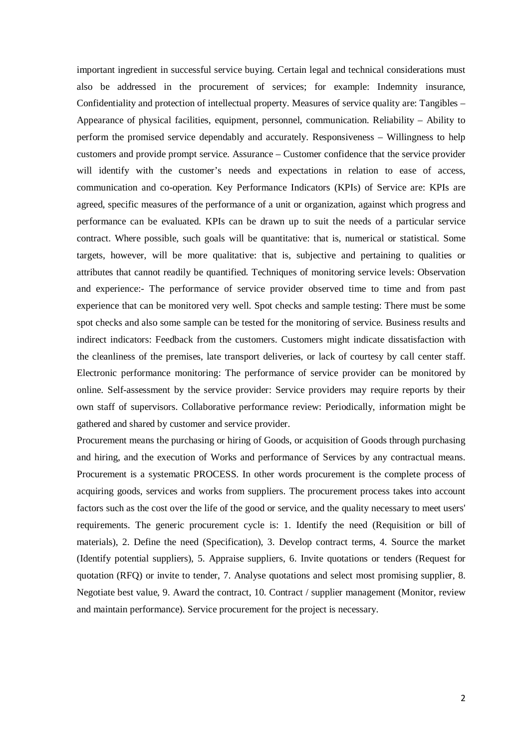important ingredient in successful service buying. Certain legal and technical considerations must also be addressed in the procurement of services; for example: Indemnity insurance, Confidentiality and protection of intellectual property. Measures of service quality are: Tangibles – Appearance of physical facilities, equipment, personnel, communication. Reliability – Ability to perform the promised service dependably and accurately. Responsiveness – Willingness to help customers and provide prompt service. Assurance – Customer confidence that the service provider will identify with the customer's needs and expectations in relation to ease of access, communication and co-operation. Key Performance Indicators (KPIs) of Service are: KPIs are agreed, specific measures of the performance of a unit or organization, against which progress and performance can be evaluated. KPIs can be drawn up to suit the needs of a particular service contract. Where possible, such goals will be quantitative: that is, numerical or statistical. Some targets, however, will be more qualitative: that is, subjective and pertaining to qualities or attributes that cannot readily be quantified. Techniques of monitoring service levels: Observation and experience:- The performance of service provider observed time to time and from past experience that can be monitored very well. Spot checks and sample testing: There must be some spot checks and also some sample can be tested for the monitoring of service. Business results and indirect indicators: Feedback from the customers. Customers might indicate dissatisfaction with the cleanliness of the premises, late transport deliveries, or lack of courtesy by call center staff. Electronic performance monitoring: The performance of service provider can be monitored by online. Self-assessment by the service provider: Service providers may require reports by their own staff of supervisors. Collaborative performance review: Periodically, information might be gathered and shared by customer and service provider.

<span id="page-11-0"></span>Procurement means the purchasing or hiring of Goods, or acquisition of Goods through purchasing and hiring, and the execution of Works and performance of Services by any contractual means. Procurement is a systematic PROCESS. In other words procurement is the complete process of acquiring goods, services and works from suppliers. The procurement process takes into account factors such as the cost over the life of the good or service, and the quality necessary to meet users' requirements. The generic procurement cycle is: 1. Identify the need (Requisition or bill of materials), 2. Define the need (Specification), 3. Develop contract terms, 4. Source the market (Identify potential suppliers), 5. Appraise suppliers, 6. Invite quotations or tenders (Request for quotation (RFQ) or invite to tender, 7. Analyse quotations and select most promising supplier, 8. Negotiate best value, 9. Award the contract, 10. Contract / supplier management (Monitor, review and maintain performance). Service procurement for the project is necessary.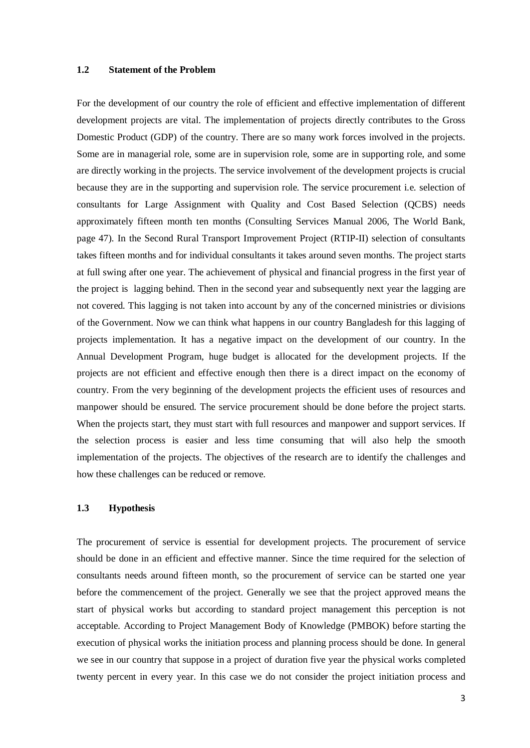## **1.2 Statement of the Problem**

For the development of our country the role of efficient and effective implementation of different development projects are vital. The implementation of projects directly contributes to the Gross Domestic Product (GDP) of the country. There are so many work forces involved in the projects. Some are in managerial role, some are in supervision role, some are in supporting role, and some are directly working in the projects. The service involvement of the development projects is crucial because they are in the supporting and supervision role. The service procurement i.e. selection of consultants for Large Assignment with Quality and Cost Based Selection (QCBS) needs approximately fifteen month ten months (Consulting Services Manual 2006, The World Bank, page 47). In the Second Rural Transport Improvement Project (RTIP-II) selection of consultants takes fifteen months and for individual consultants it takes around seven months. The project starts at full swing after one year. The achievement of physical and financial progress in the first year of the project is lagging behind. Then in the second year and subsequently next year the lagging are not covered. This lagging is not taken into account by any of the concerned ministries or divisions of the Government. Now we can think what happens in our country Bangladesh for this lagging of projects implementation. It has a negative impact on the development of our country. In the Annual Development Program, huge budget is allocated for the development projects. If the projects are not efficient and effective enough then there is a direct impact on the economy of country. From the very beginning of the development projects the efficient uses of resources and manpower should be ensured. The service procurement should be done before the project starts. When the projects start, they must start with full resources and manpower and support services. If the selection process is easier and less time consuming that will also help the smooth implementation of the projects. The objectives of the research are to identify the challenges and how these challenges can be reduced or remove.

### <span id="page-12-0"></span>**1.3 Hypothesis**

The procurement of service is essential for development projects. The procurement of service should be done in an efficient and effective manner. Since the time required for the selection of consultants needs around fifteen month, so the procurement of service can be started one year before the commencement of the project. Generally we see that the project approved means the start of physical works but according to standard project management this perception is not acceptable. According to Project Management Body of Knowledge (PMBOK) before starting the execution of physical works the initiation process and planning process should be done. In general we see in our country that suppose in a project of duration five year the physical works completed twenty percent in every year. In this case we do not consider the project initiation process and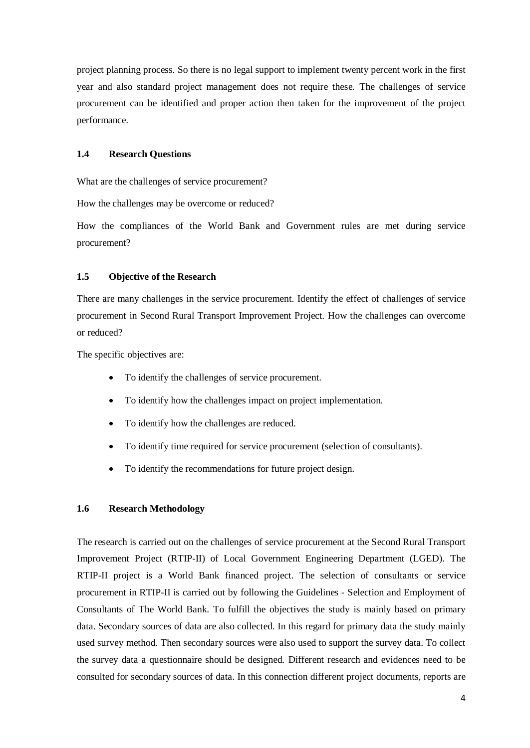project planning process. So there is no legal support to implement twenty percent work in the first year and also standard project management does not require these. The challenges of service procurement can be identified and proper action then taken for the improvement of the project performance.

## <span id="page-13-0"></span>**1.4 Research Questions**

What are the challenges of service procurement?

How the challenges may be overcome or reduced?

How the compliances of the World Bank and Government rules are met during service procurement?

## <span id="page-13-1"></span>**1.5 Objective of the Research**

There are many challenges in the service procurement. Identify the effect of challenges of service procurement in Second Rural Transport Improvement Project. How the challenges can overcome or reduced?

The specific objectives are:

- To identify the challenges of service procurement.
- To identify how the challenges impact on project implementation.
- To identify how the challenges are reduced.
- To identify time required for service procurement (selection of consultants).
- To identify the recommendations for future project design.

#### <span id="page-13-2"></span>**1.6 Research Methodology**

The research is carried out on the challenges of service procurement at the Second Rural Transport Improvement Project (RTIP-II) of Local Government Engineering Department (LGED). The RTIP-II project is a World Bank financed project. The selection of consultants or service procurement in RTIP-II is carried out by following the Guidelines - Selection and Employment of Consultants of The World Bank. To fulfill the objectives the study is mainly based on primary data. Secondary sources of data are also collected. In this regard for primary data the study mainly used survey method. Then secondary sources were also used to support the survey data. To collect the survey data a questionnaire should be designed. Different research and evidences need to be consulted for secondary sources of data. In this connection different project documents, reports are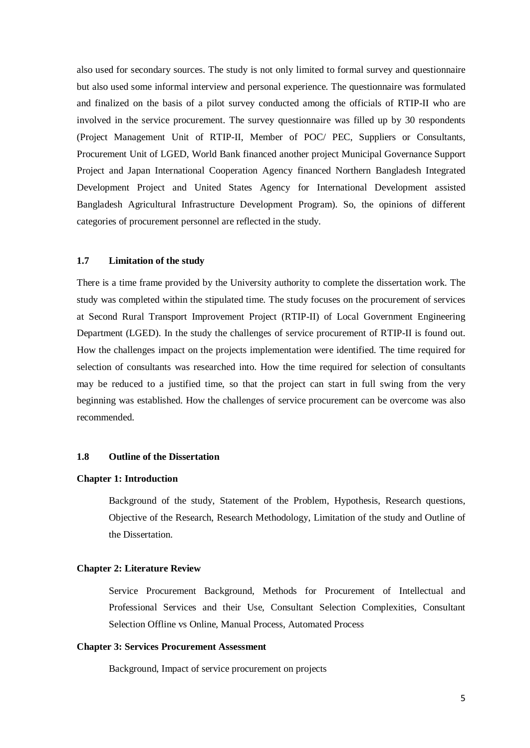also used for secondary sources. The study is not only limited to formal survey and questionnaire but also used some informal interview and personal experience. The questionnaire was formulated and finalized on the basis of a pilot survey conducted among the officials of RTIP-II who are involved in the service procurement. The survey questionnaire was filled up by 30 respondents (Project Management Unit of RTIP-II, Member of POC/ PEC, Suppliers or Consultants, Procurement Unit of LGED, World Bank financed another project Municipal Governance Support Project and Japan International Cooperation Agency financed Northern Bangladesh Integrated Development Project and United States Agency for International Development assisted Bangladesh Agricultural Infrastructure Development Program). So, the opinions of different categories of procurement personnel are reflected in the study.

### <span id="page-14-0"></span>**1.7 Limitation of the study**

There is a time frame provided by the University authority to complete the dissertation work. The study was completed within the stipulated time. The study focuses on the procurement of services at Second Rural Transport Improvement Project (RTIP-II) of Local Government Engineering Department (LGED). In the study the challenges of service procurement of RTIP-II is found out. How the challenges impact on the projects implementation were identified. The time required for selection of consultants was researched into. How the time required for selection of consultants may be reduced to a justified time, so that the project can start in full swing from the very beginning was established. How the challenges of service procurement can be overcome was also recommended.

## <span id="page-14-1"></span>**1.8 Outline of the Dissertation**

#### **Chapter 1: Introduction**

Background of the study, Statement of the Problem, Hypothesis, Research questions, Objective of the Research, Research Methodology, Limitation of the study and Outline of the Dissertation.

#### **Chapter 2: Literature Review**

Service Procurement Background, Methods for Procurement of Intellectual and Professional Services and their Use, Consultant Selection Complexities, Consultant Selection Offline vs Online, Manual Process, Automated Process

#### **Chapter 3: Services Procurement Assessment**

Background, Impact of service procurement on projects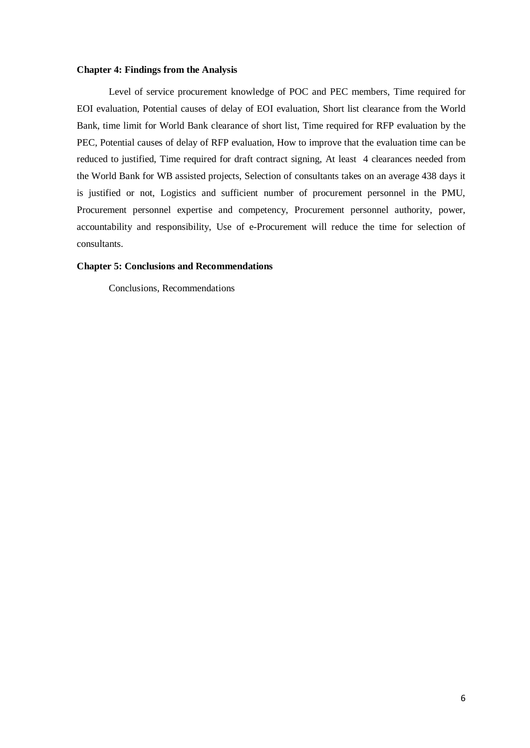#### **Chapter 4: Findings from the Analysis**

Level of service procurement knowledge of POC and PEC members, Time required for EOI evaluation, Potential causes of delay of EOI evaluation, Short list clearance from the World Bank, time limit for World Bank clearance of short list, Time required for RFP evaluation by the PEC, Potential causes of delay of RFP evaluation, How to improve that the evaluation time can be reduced to justified, Time required for draft contract signing, At least 4 clearances needed from the World Bank for WB assisted projects, Selection of consultants takes on an average 438 days it is justified or not, Logistics and sufficient number of procurement personnel in the PMU, Procurement personnel expertise and competency, Procurement personnel authority, power, accountability and responsibility, Use of e-Procurement will reduce the time for selection of consultants.

### **Chapter 5: Conclusions and Recommendations**

Conclusions, Recommendations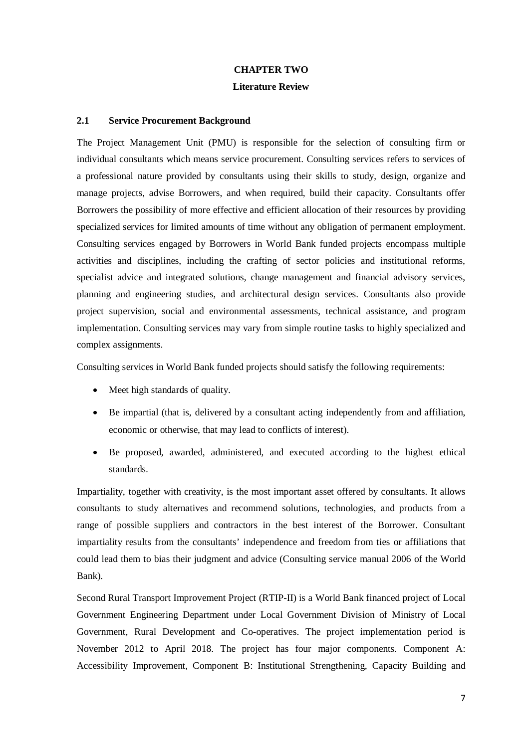## **CHAPTER TWO**

## **Literature Review**

## <span id="page-16-2"></span><span id="page-16-1"></span><span id="page-16-0"></span>**2.1 Service Procurement Background**

The Project Management Unit (PMU) is responsible for the selection of consulting firm or individual consultants which means service procurement. Consulting services refers to services of a professional nature provided by consultants using their skills to study, design, organize and manage projects, advise Borrowers, and when required, build their capacity. Consultants offer Borrowers the possibility of more effective and efficient allocation of their resources by providing specialized services for limited amounts of time without any obligation of permanent employment. Consulting services engaged by Borrowers in World Bank funded projects encompass multiple activities and disciplines, including the crafting of sector policies and institutional reforms, specialist advice and integrated solutions, change management and financial advisory services, planning and engineering studies, and architectural design services. Consultants also provide project supervision, social and environmental assessments, technical assistance, and program implementation. Consulting services may vary from simple routine tasks to highly specialized and complex assignments.

Consulting services in World Bank funded projects should satisfy the following requirements:

- Meet high standards of quality.
- Be impartial (that is, delivered by a consultant acting independently from and affiliation, economic or otherwise, that may lead to conflicts of interest).
- Be proposed, awarded, administered, and executed according to the highest ethical standards.

Impartiality, together with creativity, is the most important asset offered by consultants. It allows consultants to study alternatives and recommend solutions, technologies, and products from a range of possible suppliers and contractors in the best interest of the Borrower. Consultant impartiality results from the consultants' independence and freedom from ties or affiliations that could lead them to bias their judgment and advice (Consulting service manual 2006 of the World Bank).

Second Rural Transport Improvement Project (RTIP-II) is a World Bank financed project of Local Government Engineering Department under Local Government Division of Ministry of Local Government, Rural Development and Co-operatives. The project implementation period is November 2012 to April 2018. The project has four major components. Component A: Accessibility Improvement, Component B: Institutional Strengthening, Capacity Building and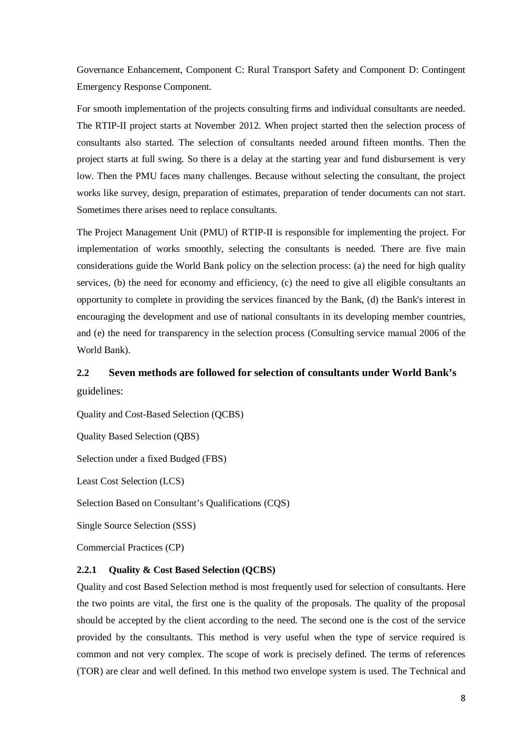Governance Enhancement, Component C: Rural Transport Safety and Component D: Contingent Emergency Response Component.

For smooth implementation of the projects consulting firms and individual consultants are needed. The RTIP-II project starts at November 2012. When project started then the selection process of consultants also started. The selection of consultants needed around fifteen months. Then the project starts at full swing. So there is a delay at the starting year and fund disbursement is very low. Then the PMU faces many challenges. Because without selecting the consultant, the project works like survey, design, preparation of estimates, preparation of tender documents can not start. Sometimes there arises need to replace consultants.

The Project Management Unit (PMU) of RTIP-II is responsible for implementing the project. For implementation of works smoothly, selecting the consultants is needed. There are five main considerations guide the World Bank policy on the selection process: (a) the need for high quality services, (b) the need for economy and efficiency, (c) the need to give all eligible consultants an opportunity to complete in providing the services financed by the Bank, (d) the Bank's interest in encouraging the development and use of national consultants in its developing member countries, and (e) the need for transparency in the selection process (Consulting service manual 2006 of the World Bank).

# <span id="page-17-0"></span>**2.2 Seven methods are followed for selection of consultants under World Bank's** guidelines:

Quality and Cost-Based Selection (QCBS) Quality Based Selection (QBS) Selection under a fixed Budged (FBS) Least Cost Selection (LCS) Selection Based on Consultant's Qualifications (CQS) Single Source Selection (SSS) Commercial Practices (CP)

## **2.2.1 Quality & Cost Based Selection (QCBS)**

Quality and cost Based Selection method is most frequently used for selection of consultants. Here the two points are vital, the first one is the quality of the proposals. The quality of the proposal should be accepted by the client according to the need. The second one is the cost of the service provided by the consultants. This method is very useful when the type of service required is common and not very complex. The scope of work is precisely defined. The terms of references (TOR) are clear and well defined. In this method two envelope system is used. The Technical and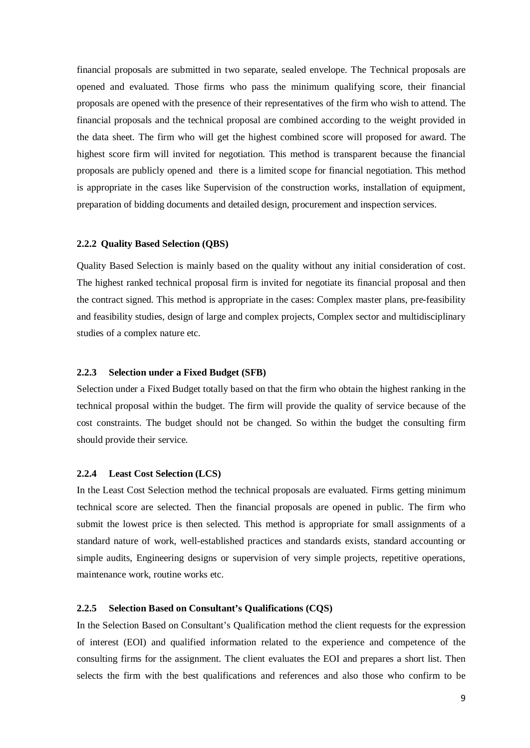financial proposals are submitted in two separate, sealed envelope. The Technical proposals are opened and evaluated. Those firms who pass the minimum qualifying score, their financial proposals are opened with the presence of their representatives of the firm who wish to attend. The financial proposals and the technical proposal are combined according to the weight provided in the data sheet. The firm who will get the highest combined score will proposed for award. The highest score firm will invited for negotiation. This method is transparent because the financial proposals are publicly opened and there is a limited scope for financial negotiation. This method is appropriate in the cases like Supervision of the construction works, installation of equipment, preparation of bidding documents and detailed design, procurement and inspection services.

#### **2.2.2 Quality Based Selection (QBS)**

Quality Based Selection is mainly based on the quality without any initial consideration of cost. The highest ranked technical proposal firm is invited for negotiate its financial proposal and then the contract signed. This method is appropriate in the cases: Complex master plans, pre-feasibility and feasibility studies, design of large and complex projects, Complex sector and multidisciplinary studies of a complex nature etc.

#### **2.2.3 Selection under a Fixed Budget (SFB)**

Selection under a Fixed Budget totally based on that the firm who obtain the highest ranking in the technical proposal within the budget. The firm will provide the quality of service because of the cost constraints. The budget should not be changed. So within the budget the consulting firm should provide their service.

#### **2.2.4 Least Cost Selection (LCS)**

In the Least Cost Selection method the technical proposals are evaluated. Firms getting minimum technical score are selected. Then the financial proposals are opened in public. The firm who submit the lowest price is then selected. This method is appropriate for small assignments of a standard nature of work, well-established practices and standards exists, standard accounting or simple audits, Engineering designs or supervision of very simple projects, repetitive operations, maintenance work, routine works etc.

## **2.2.5 Selection Based on Consultant's Qualifications (CQS)**

In the Selection Based on Consultant's Qualification method the client requests for the expression of interest (EOI) and qualified information related to the experience and competence of the consulting firms for the assignment. The client evaluates the EOI and prepares a short list. Then selects the firm with the best qualifications and references and also those who confirm to be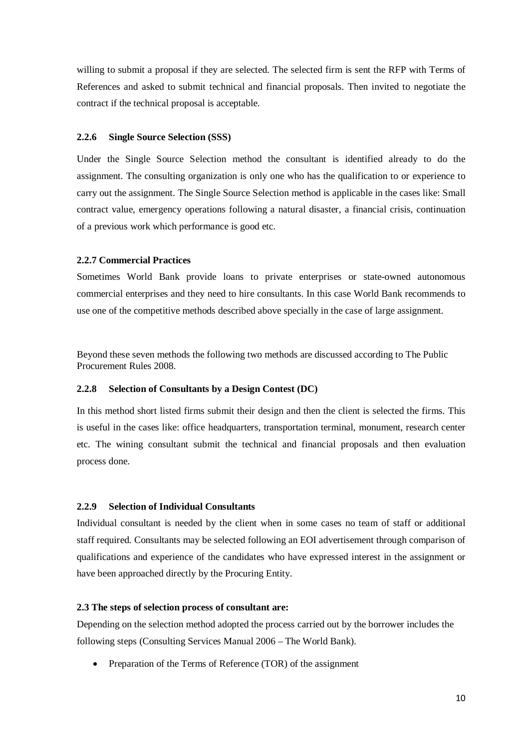willing to submit a proposal if they are selected. The selected firm is sent the RFP with Terms of References and asked to submit technical and financial proposals. Then invited to negotiate the contract if the technical proposal is acceptable.

#### **2.2.6 Single Source Selection (SSS)**

Under the Single Source Selection method the consultant is identified already to do the assignment. The consulting organization is only one who has the qualification to or experience to carry out the assignment. The Single Source Selection method is applicable in the cases like: Small contract value, emergency operations following a natural disaster, a financial crisis, continuation of a previous work which performance is good etc.

## **2.2.7 Commercial Practices**

Sometimes World Bank provide loans to private enterprises or state-owned autonomous commercial enterprises and they need to hire consultants. In this case World Bank recommends to use one of the competitive methods described above specially in the case of large assignment.

Beyond these seven methods the following two methods are discussed according to The Public Procurement Rules 2008.

#### **2.2.8 Selection of Consultants by a Design Contest (DC)**

In this method short listed firms submit their design and then the client is selected the firms. This is useful in the cases like: office headquarters, transportation terminal, monument, research center etc. The wining consultant submit the technical and financial proposals and then evaluation process done.

#### **2.2.9 Selection of Individual Consultants**

Individual consultant is needed by the client when in some cases no team of staff or additional staff required. Consultants may be selected following an EOI advertisement through comparison of qualifications and experience of the candidates who have expressed interest in the assignment or have been approached directly by the Procuring Entity.

#### <span id="page-19-0"></span>**2.3 The steps of selection process of consultant are:**

Depending on the selection method adopted the process carried out by the borrower includes the following steps (Consulting Services Manual 2006 – The World Bank).

• Preparation of the Terms of Reference (TOR) of the assignment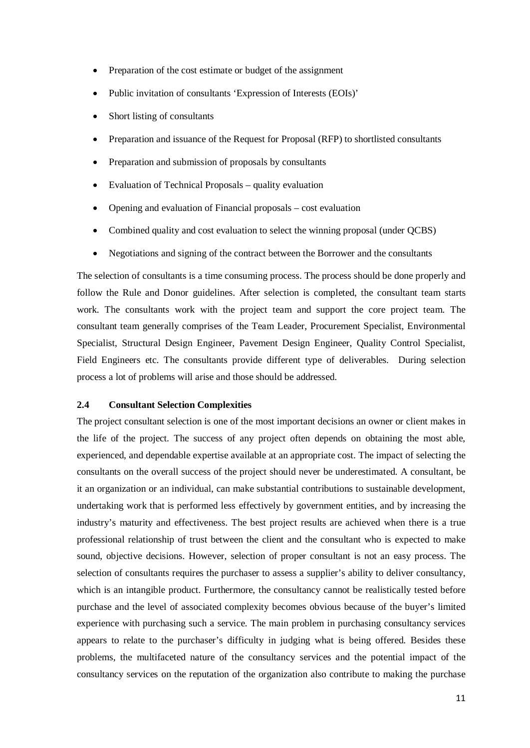- Preparation of the cost estimate or budget of the assignment
- Public invitation of consultants 'Expression of Interests (EOIs)'
- Short listing of consultants
- Preparation and issuance of the Request for Proposal (RFP) to shortlisted consultants
- Preparation and submission of proposals by consultants
- Evaluation of Technical Proposals quality evaluation
- Opening and evaluation of Financial proposals cost evaluation
- Combined quality and cost evaluation to select the winning proposal (under QCBS)
- Negotiations and signing of the contract between the Borrower and the consultants

The selection of consultants is a time consuming process. The process should be done properly and follow the Rule and Donor guidelines. After selection is completed, the consultant team starts work. The consultants work with the project team and support the core project team. The consultant team generally comprises of the Team Leader, Procurement Specialist, Environmental Specialist, Structural Design Engineer, Pavement Design Engineer, Quality Control Specialist, Field Engineers etc. The consultants provide different type of deliverables. During selection process a lot of problems will arise and those should be addressed.

## <span id="page-20-0"></span>**2.4 Consultant Selection Complexities**

The project consultant selection is one of the most important decisions an owner or client makes in the life of the project. The success of any project often depends on obtaining the most able, experienced, and dependable expertise available at an appropriate cost. The impact of selecting the consultants on the overall success of the project should never be underestimated. A consultant, be it an organization or an individual, can make substantial contributions to sustainable development, undertaking work that is performed less effectively by government entities, and by increasing the industry's maturity and effectiveness. The best project results are achieved when there is a true professional relationship of trust between the client and the consultant who is expected to make sound, objective decisions. However, selection of proper consultant is not an easy process. The selection of consultants requires the purchaser to assess a supplier's ability to deliver consultancy, which is an intangible product. Furthermore, the consultancy cannot be realistically tested before purchase and the level of associated complexity becomes obvious because of the buyer's limited experience with purchasing such a service. The main problem in purchasing consultancy services appears to relate to the purchaser's difficulty in judging what is being offered. Besides these problems, the multifaceted nature of the consultancy services and the potential impact of the consultancy services on the reputation of the organization also contribute to making the purchase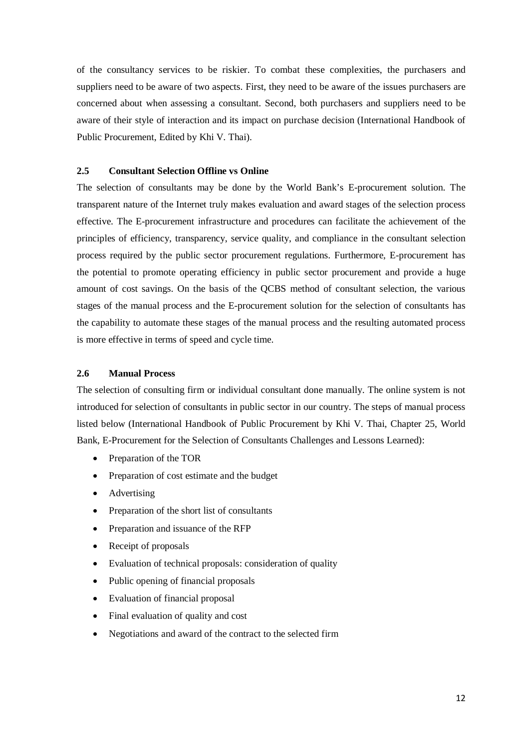of the consultancy services to be riskier. To combat these complexities, the purchasers and suppliers need to be aware of two aspects. First, they need to be aware of the issues purchasers are concerned about when assessing a consultant. Second, both purchasers and suppliers need to be aware of their style of interaction and its impact on purchase decision (International Handbook of Public Procurement, Edited by Khi V. Thai).

## <span id="page-21-0"></span>**2.5 Consultant Selection Offline vs Online**

The selection of consultants may be done by the World Bank's E-procurement solution. The transparent nature of the Internet truly makes evaluation and award stages of the selection process effective. The E-procurement infrastructure and procedures can facilitate the achievement of the principles of efficiency, transparency, service quality, and compliance in the consultant selection process required by the public sector procurement regulations. Furthermore, E-procurement has the potential to promote operating efficiency in public sector procurement and provide a huge amount of cost savings. On the basis of the QCBS method of consultant selection, the various stages of the manual process and the E-procurement solution for the selection of consultants has the capability to automate these stages of the manual process and the resulting automated process is more effective in terms of speed and cycle time.

## <span id="page-21-1"></span>**2.6 Manual Process**

The selection of consulting firm or individual consultant done manually. The online system is not introduced for selection of consultants in public sector in our country. The steps of manual process listed below (International Handbook of Public Procurement by Khi V. Thai, Chapter 25, World Bank, E-Procurement for the Selection of Consultants Challenges and Lessons Learned):

- Preparation of the TOR
- Preparation of cost estimate and the budget
- Advertising
- Preparation of the short list of consultants
- Preparation and issuance of the RFP
- Receipt of proposals
- Evaluation of technical proposals: consideration of quality
- Public opening of financial proposals
- Evaluation of financial proposal
- Final evaluation of quality and cost
- Negotiations and award of the contract to the selected firm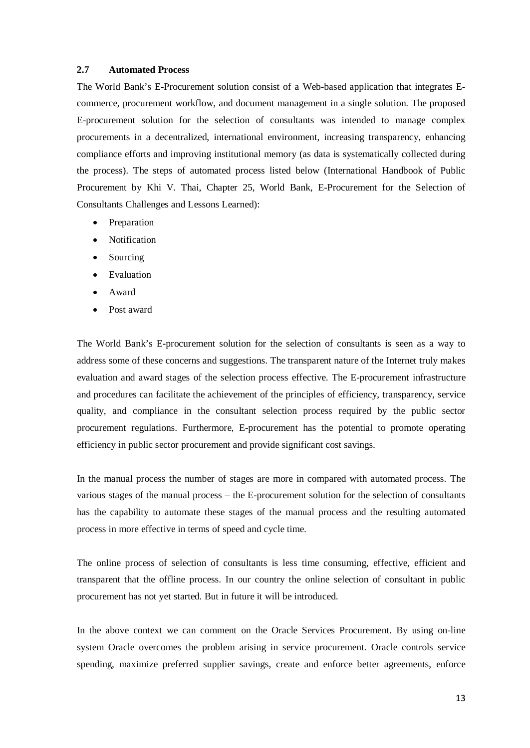#### <span id="page-22-0"></span>**2.7 Automated Process**

The World Bank's E-Procurement solution consist of a Web-based application that integrates Ecommerce, procurement workflow, and document management in a single solution. The proposed E-procurement solution for the selection of consultants was intended to manage complex procurements in a decentralized, international environment, increasing transparency, enhancing compliance efforts and improving institutional memory (as data is systematically collected during the process). The steps of automated process listed below (International Handbook of Public Procurement by Khi V. Thai, Chapter 25, World Bank, E-Procurement for the Selection of Consultants Challenges and Lessons Learned):

- Preparation
- Notification
- Sourcing
- Evaluation
- Award
- Post award

The World Bank's E-procurement solution for the selection of consultants is seen as a way to address some of these concerns and suggestions. The transparent nature of the Internet truly makes evaluation and award stages of the selection process effective. The E-procurement infrastructure and procedures can facilitate the achievement of the principles of efficiency, transparency, service quality, and compliance in the consultant selection process required by the public sector procurement regulations. Furthermore, E-procurement has the potential to promote operating efficiency in public sector procurement and provide significant cost savings.

In the manual process the number of stages are more in compared with automated process. The various stages of the manual process – the E-procurement solution for the selection of consultants has the capability to automate these stages of the manual process and the resulting automated process in more effective in terms of speed and cycle time.

The online process of selection of consultants is less time consuming, effective, efficient and transparent that the offline process. In our country the online selection of consultant in public procurement has not yet started. But in future it will be introduced.

In the above context we can comment on the Oracle Services Procurement. By using on-line system Oracle overcomes the problem arising in service procurement. Oracle controls service spending, maximize preferred supplier savings, create and enforce better agreements, enforce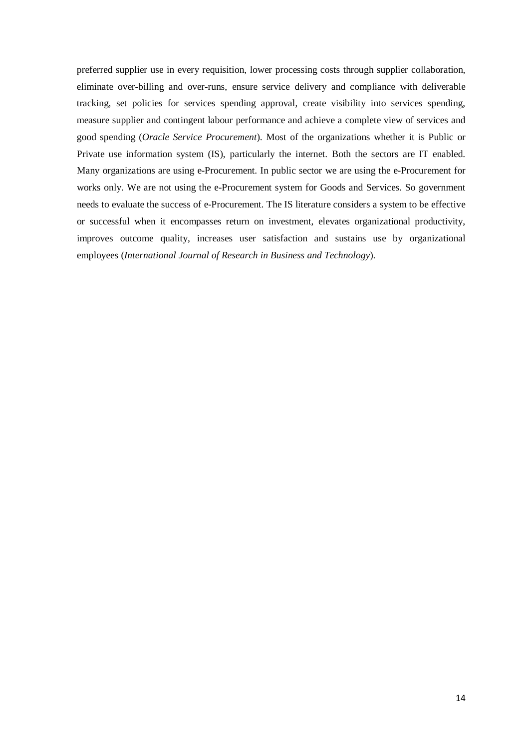preferred supplier use in every requisition, lower processing costs through supplier collaboration, eliminate over-billing and over-runs, ensure service delivery and compliance with deliverable tracking, set policies for services spending approval, create visibility into services spending, measure supplier and contingent labour performance and achieve a complete view of services and good spending (*Oracle Service Procurement*). Most of the organizations whether it is Public or Private use information system (IS), particularly the internet. Both the sectors are IT enabled. Many organizations are using e-Procurement. In public sector we are using the e-Procurement for works only. We are not using the e-Procurement system for Goods and Services. So government needs to evaluate the success of e-Procurement. The IS literature considers a system to be effective or successful when it encompasses return on investment, elevates organizational productivity, improves outcome quality, increases user satisfaction and sustains use by organizational employees (*International Journal of Research in Business and Technology*).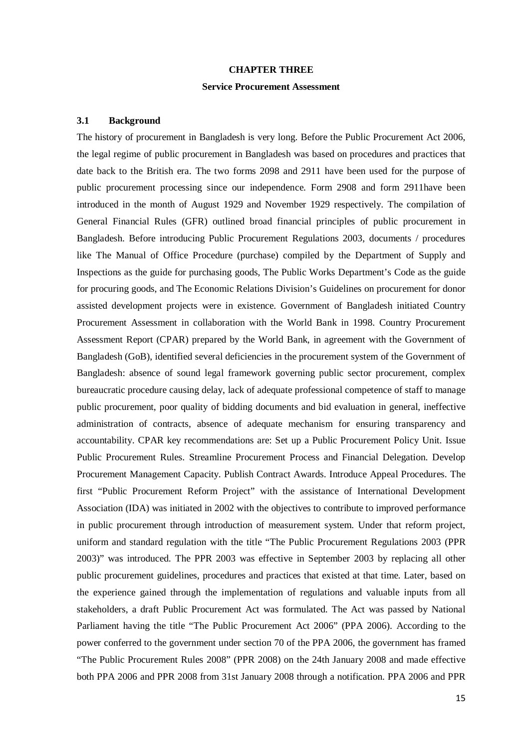#### **CHAPTER THREE**

#### **Service Procurement Assessment**

#### <span id="page-24-2"></span><span id="page-24-1"></span><span id="page-24-0"></span>**3.1 Background**

The history of procurement in Bangladesh is very long. Before the Public Procurement Act 2006, the legal regime of public procurement in Bangladesh was based on procedures and practices that date back to the British era. The two forms 2098 and 2911 have been used for the purpose of public procurement processing since our independence. Form 2908 and form 2911have been introduced in the month of August 1929 and November 1929 respectively. The compilation of General Financial Rules (GFR) outlined broad financial principles of public procurement in Bangladesh. Before introducing Public Procurement Regulations 2003, documents / procedures like The Manual of Office Procedure (purchase) compiled by the Department of Supply and Inspections as the guide for purchasing goods, The Public Works Department's Code as the guide for procuring goods, and The Economic Relations Division's Guidelines on procurement for donor assisted development projects were in existence. Government of Bangladesh initiated Country Procurement Assessment in collaboration with the World Bank in 1998. Country Procurement Assessment Report (CPAR) prepared by the World Bank, in agreement with the Government of Bangladesh (GoB), identified several deficiencies in the procurement system of the Government of Bangladesh: absence of sound legal framework governing public sector procurement, complex bureaucratic procedure causing delay, lack of adequate professional competence of staff to manage public procurement, poor quality of bidding documents and bid evaluation in general, ineffective administration of contracts, absence of adequate mechanism for ensuring transparency and accountability. CPAR key recommendations are: Set up a Public Procurement Policy Unit. Issue Public Procurement Rules. Streamline Procurement Process and Financial Delegation. Develop Procurement Management Capacity. Publish Contract Awards. Introduce Appeal Procedures. The first "Public Procurement Reform Project" with the assistance of International Development Association (IDA) was initiated in 2002 with the objectives to contribute to improved performance in public procurement through introduction of measurement system. Under that reform project, uniform and standard regulation with the title "The Public Procurement Regulations 2003 (PPR 2003)" was introduced. The PPR 2003 was effective in September 2003 by replacing all other public procurement guidelines, procedures and practices that existed at that time. Later, based on the experience gained through the implementation of regulations and valuable inputs from all stakeholders, a draft Public Procurement Act was formulated. The Act was passed by National Parliament having the title "The Public Procurement Act 2006" (PPA 2006). According to the power conferred to the government under section 70 of the PPA 2006, the government has framed "The Public Procurement Rules 2008" (PPR 2008) on the 24th January 2008 and made effective both PPA 2006 and PPR 2008 from 31st January 2008 through a notification. PPA 2006 and PPR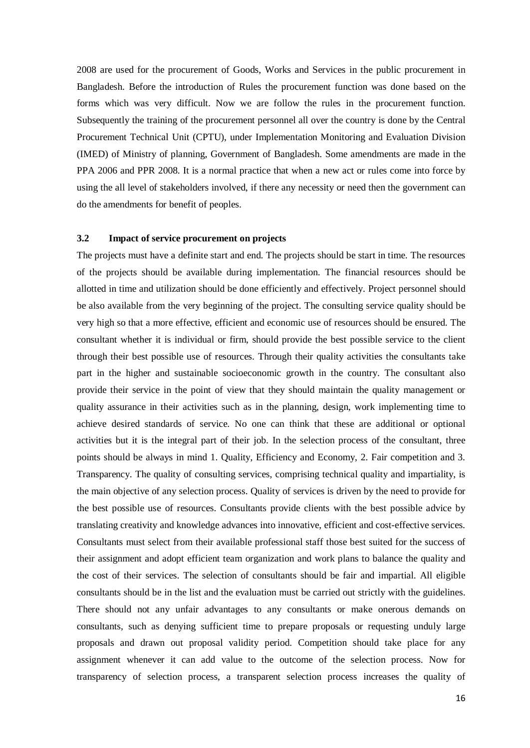2008 are used for the procurement of Goods, Works and Services in the public procurement in Bangladesh. Before the introduction of Rules the procurement function was done based on the forms which was very difficult. Now we are follow the rules in the procurement function. Subsequently the training of the procurement personnel all over the country is done by the Central Procurement Technical Unit (CPTU), under Implementation Monitoring and Evaluation Division (IMED) of Ministry of planning, Government of Bangladesh. Some amendments are made in the PPA 2006 and PPR 2008. It is a normal practice that when a new act or rules come into force by using the all level of stakeholders involved, if there any necessity or need then the government can do the amendments for benefit of peoples.

## <span id="page-25-0"></span>**3.2 Impact of service procurement on projects**

The projects must have a definite start and end. The projects should be start in time. The resources of the projects should be available during implementation. The financial resources should be allotted in time and utilization should be done efficiently and effectively. Project personnel should be also available from the very beginning of the project. The consulting service quality should be very high so that a more effective, efficient and economic use of resources should be ensured. The consultant whether it is individual or firm, should provide the best possible service to the client through their best possible use of resources. Through their quality activities the consultants take part in the higher and sustainable socioeconomic growth in the country. The consultant also provide their service in the point of view that they should maintain the quality management or quality assurance in their activities such as in the planning, design, work implementing time to achieve desired standards of service. No one can think that these are additional or optional activities but it is the integral part of their job. In the selection process of the consultant, three points should be always in mind 1. Quality, Efficiency and Economy, 2. Fair competition and 3. Transparency. The quality of consulting services, comprising technical quality and impartiality, is the main objective of any selection process. Quality of services is driven by the need to provide for the best possible use of resources. Consultants provide clients with the best possible advice by translating creativity and knowledge advances into innovative, efficient and cost-effective services. Consultants must select from their available professional staff those best suited for the success of their assignment and adopt efficient team organization and work plans to balance the quality and the cost of their services. The selection of consultants should be fair and impartial. All eligible consultants should be in the list and the evaluation must be carried out strictly with the guidelines. There should not any unfair advantages to any consultants or make onerous demands on consultants, such as denying sufficient time to prepare proposals or requesting unduly large proposals and drawn out proposal validity period. Competition should take place for any assignment whenever it can add value to the outcome of the selection process. Now for transparency of selection process, a transparent selection process increases the quality of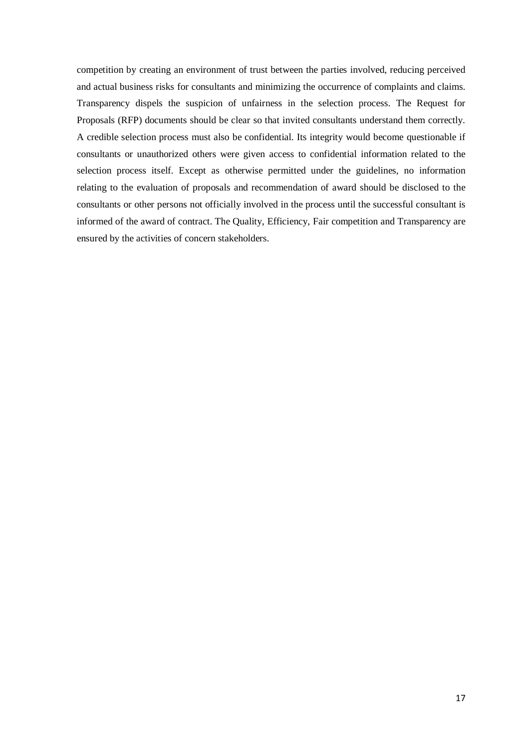competition by creating an environment of trust between the parties involved, reducing perceived and actual business risks for consultants and minimizing the occurrence of complaints and claims. Transparency dispels the suspicion of unfairness in the selection process. The Request for Proposals (RFP) documents should be clear so that invited consultants understand them correctly. A credible selection process must also be confidential. Its integrity would become questionable if consultants or unauthorized others were given access to confidential information related to the selection process itself. Except as otherwise permitted under the guidelines, no information relating to the evaluation of proposals and recommendation of award should be disclosed to the consultants or other persons not officially involved in the process until the successful consultant is informed of the award of contract. The Quality, Efficiency, Fair competition and Transparency are ensured by the activities of concern stakeholders.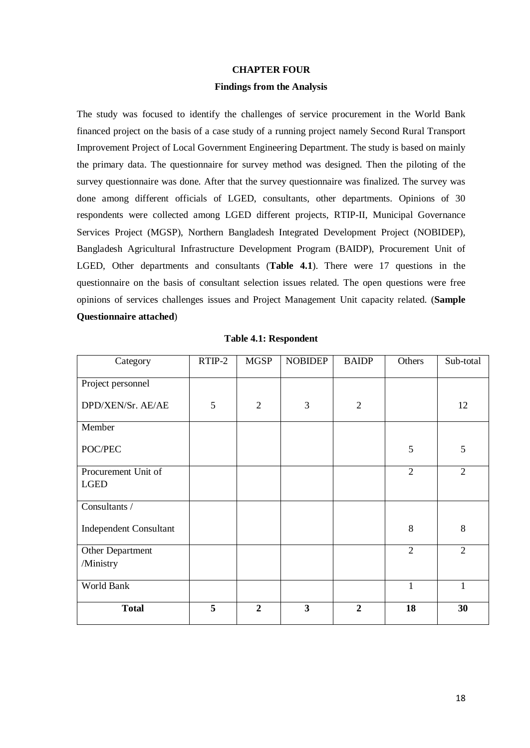#### **CHAPTER FOUR**

#### **Findings from the Analysis**

<span id="page-27-1"></span><span id="page-27-0"></span>The study was focused to identify the challenges of service procurement in the World Bank financed project on the basis of a case study of a running project namely Second Rural Transport Improvement Project of Local Government Engineering Department. The study is based on mainly the primary data. The questionnaire for survey method was designed. Then the piloting of the survey questionnaire was done. After that the survey questionnaire was finalized. The survey was done among different officials of LGED, consultants, other departments. Opinions of 30 respondents were collected among LGED different projects, RTIP-II, Municipal Governance Services Project (MGSP), Northern Bangladesh Integrated Development Project (NOBIDEP), Bangladesh Agricultural Infrastructure Development Program (BAIDP), Procurement Unit of LGED, Other departments and consultants (**Table 4.1**). There were 17 questions in the questionnaire on the basis of consultant selection issues related. The open questions were free opinions of services challenges issues and Project Management Unit capacity related. (**Sample Questionnaire attached**)

<span id="page-27-2"></span>

| Category                      | $RTIP-2$ | <b>MGSP</b>    | <b>NOBIDEP</b>          | <b>BAIDP</b>   | Others         | Sub-total      |
|-------------------------------|----------|----------------|-------------------------|----------------|----------------|----------------|
| Project personnel             |          |                |                         |                |                |                |
| DPD/XEN/Sr. AE/AE             | 5        | $\overline{2}$ | 3                       | $\mathfrak{2}$ |                | 12             |
| Member                        |          |                |                         |                |                |                |
| POC/PEC                       |          |                |                         |                | 5              | 5              |
| Procurement Unit of           |          |                |                         |                | $\overline{2}$ | $\overline{2}$ |
| <b>LGED</b>                   |          |                |                         |                |                |                |
| Consultants /                 |          |                |                         |                |                |                |
| <b>Independent Consultant</b> |          |                |                         |                | 8              | 8              |
| Other Department              |          |                |                         |                | $\overline{2}$ | $\overline{2}$ |
| /Ministry                     |          |                |                         |                |                |                |
| World Bank                    |          |                |                         |                | $\mathbf{1}$   | $\mathbf{1}$   |
| <b>Total</b>                  | 5        | $\overline{2}$ | $\overline{\mathbf{3}}$ | $\overline{2}$ | 18             | 30             |

**Table 4.1: Respondent**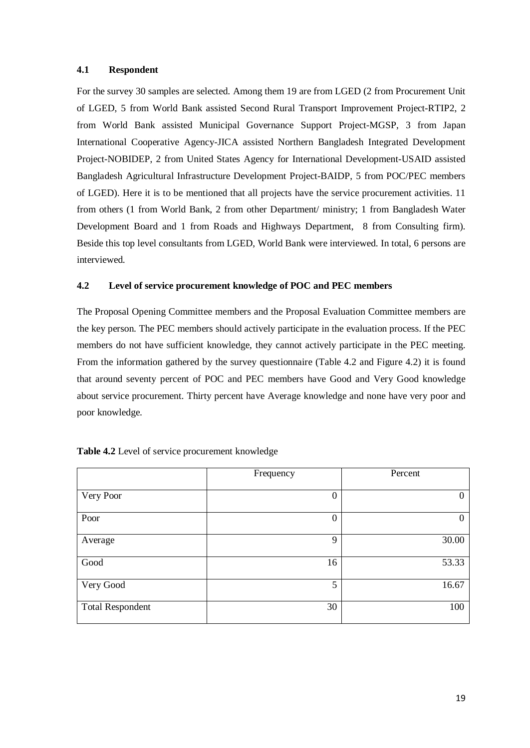## **4.1 Respondent**

For the survey 30 samples are selected. Among them 19 are from LGED (2 from Procurement Unit of LGED, 5 from World Bank assisted Second Rural Transport Improvement Project-RTIP2, 2 from World Bank assisted Municipal Governance Support Project-MGSP, 3 from Japan International Cooperative Agency-JICA assisted Northern Bangladesh Integrated Development Project-NOBIDEP, 2 from United States Agency for International Development-USAID assisted Bangladesh Agricultural Infrastructure Development Project-BAIDP, 5 from POC/PEC members of LGED). Here it is to be mentioned that all projects have the service procurement activities. 11 from others (1 from World Bank, 2 from other Department/ ministry; 1 from Bangladesh Water Development Board and 1 from Roads and Highways Department, 8 from Consulting firm). Beside this top level consultants from LGED, World Bank were interviewed. In total, 6 persons are interviewed.

## <span id="page-28-0"></span>**4.2 Level of service procurement knowledge of POC and PEC members**

The Proposal Opening Committee members and the Proposal Evaluation Committee members are the key person. The PEC members should actively participate in the evaluation process. If the PEC members do not have sufficient knowledge, they cannot actively participate in the PEC meeting. From the information gathered by the survey questionnaire (Table 4.2 and Figure 4.2) it is found that around seventy percent of POC and PEC members have Good and Very Good knowledge about service procurement. Thirty percent have Average knowledge and none have very poor and poor knowledge.

|                         | Frequency | Percent  |
|-------------------------|-----------|----------|
| Very Poor               | 0         | $\theta$ |
| Poor                    | 0         | $\Omega$ |
| Average                 | 9         | 30.00    |
| Good                    | 16        | 53.33    |
| Very Good               | 5         | 16.67    |
| <b>Total Respondent</b> | 30        | 100      |

| Table 4.2 Level of service procurement knowledge |  |  |
|--------------------------------------------------|--|--|
|--------------------------------------------------|--|--|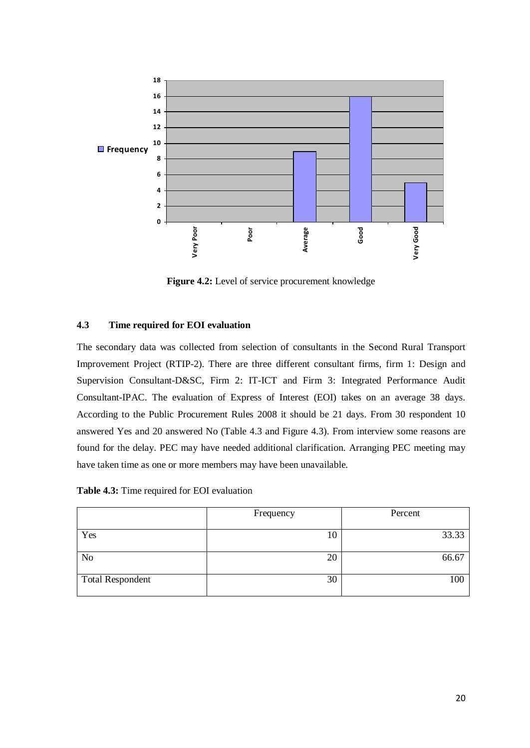

**Figure 4.2:** Level of service procurement knowledge

## <span id="page-29-0"></span>**4.3 Time required for EOI evaluation**

The secondary data was collected from selection of consultants in the Second Rural Transport Improvement Project (RTIP-2). There are three different consultant firms, firm 1: Design and Supervision Consultant-D&SC, Firm 2: IT-ICT and Firm 3: Integrated Performance Audit Consultant-IPAC. The evaluation of Express of Interest (EOI) takes on an average 38 days. According to the Public Procurement Rules 2008 it should be 21 days. From 30 respondent 10 answered Yes and 20 answered No (Table 4.3 and Figure 4.3). From interview some reasons are found for the delay. PEC may have needed additional clarification. Arranging PEC meeting may have taken time as one or more members may have been unavailable.

**Table 4.3:** Time required for EOI evaluation

|                         | Frequency | Percent |
|-------------------------|-----------|---------|
| Yes                     | 10        | 33.33   |
| N <sub>o</sub>          | 20        | 66.67   |
| <b>Total Respondent</b> | 30        | 100     |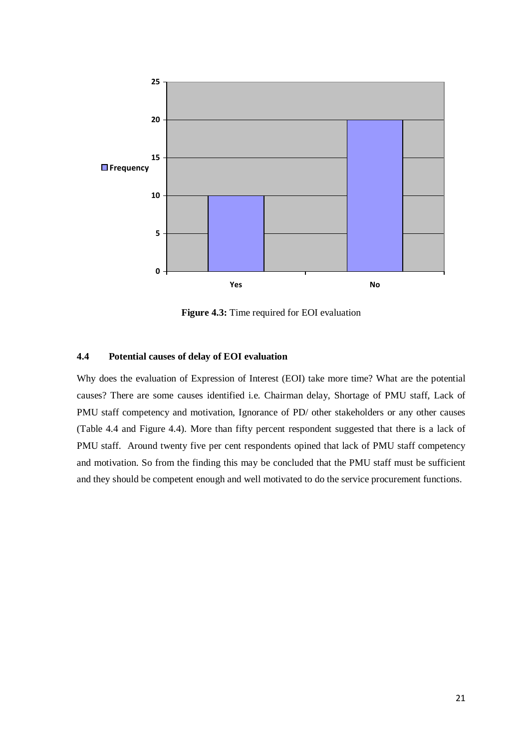

**Figure 4.3:** Time required for EOI evaluation

## <span id="page-30-0"></span>**4.4 Potential causes of delay of EOI evaluation**

Why does the evaluation of Expression of Interest (EOI) take more time? What are the potential causes? There are some causes identified i.e. Chairman delay, Shortage of PMU staff, Lack of PMU staff competency and motivation, Ignorance of PD/ other stakeholders or any other causes (Table 4.4 and Figure 4.4). More than fifty percent respondent suggested that there is a lack of PMU staff. Around twenty five per cent respondents opined that lack of PMU staff competency and motivation. So from the finding this may be concluded that the PMU staff must be sufficient and they should be competent enough and well motivated to do the service procurement functions.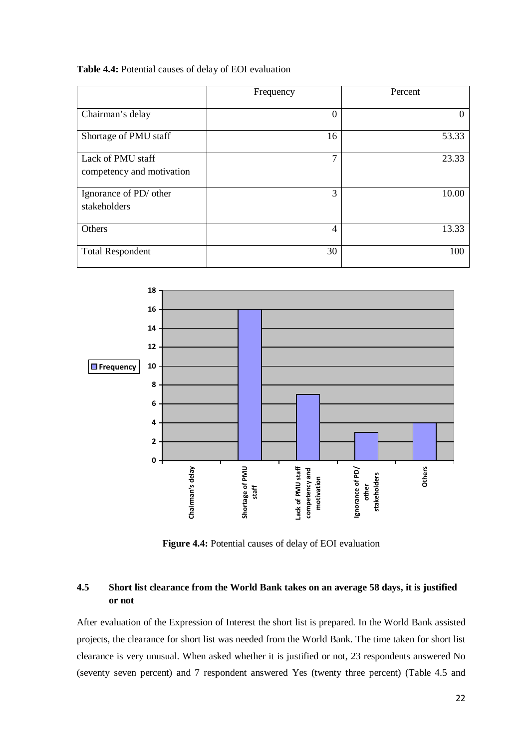### **Table 4.4:** Potential causes of delay of EOI evaluation

|                                                | Frequency      | Percent |
|------------------------------------------------|----------------|---------|
| Chairman's delay                               | $\Omega$       | 0       |
| Shortage of PMU staff                          | 16             | 53.33   |
| Lack of PMU staff<br>competency and motivation | 7              | 23.33   |
| Ignorance of PD/ other<br>stakeholders         | 3              | 10.00   |
| Others                                         | $\overline{4}$ | 13.33   |
| <b>Total Respondent</b>                        | 30             | 100     |



**Figure 4.4:** Potential causes of delay of EOI evaluation

## <span id="page-31-0"></span>**4.5 Short list clearance from the World Bank takes on an average 58 days, it is justified or not**

After evaluation of the Expression of Interest the short list is prepared. In the World Bank assisted projects, the clearance for short list was needed from the World Bank. The time taken for short list clearance is very unusual. When asked whether it is justified or not, 23 respondents answered No (seventy seven percent) and 7 respondent answered Yes (twenty three percent) (Table 4.5 and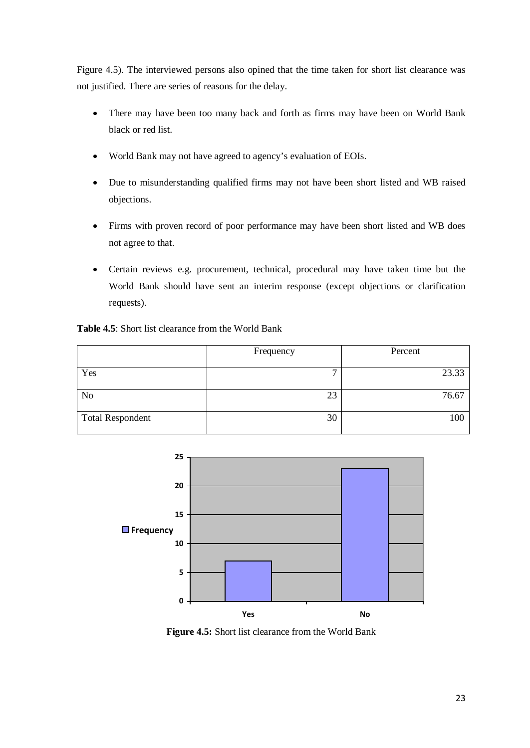Figure 4.5). The interviewed persons also opined that the time taken for short list clearance was not justified. There are series of reasons for the delay.

- There may have been too many back and forth as firms may have been on World Bank black or red list.
- World Bank may not have agreed to agency's evaluation of EOIs.
- Due to misunderstanding qualified firms may not have been short listed and WB raised objections.
- Firms with proven record of poor performance may have been short listed and WB does not agree to that.
- Certain reviews e.g. procurement, technical, procedural may have taken time but the World Bank should have sent an interim response (except objections or clarification requests).

**Table 4.5**: Short list clearance from the World Bank

|                         | Frequency | Percent |
|-------------------------|-----------|---------|
| Yes                     | −         | 23.33   |
| N <sub>o</sub>          | 23        | 76.67   |
| <b>Total Respondent</b> | 30        | 100     |



**Figure 4.5:** Short list clearance from the World Bank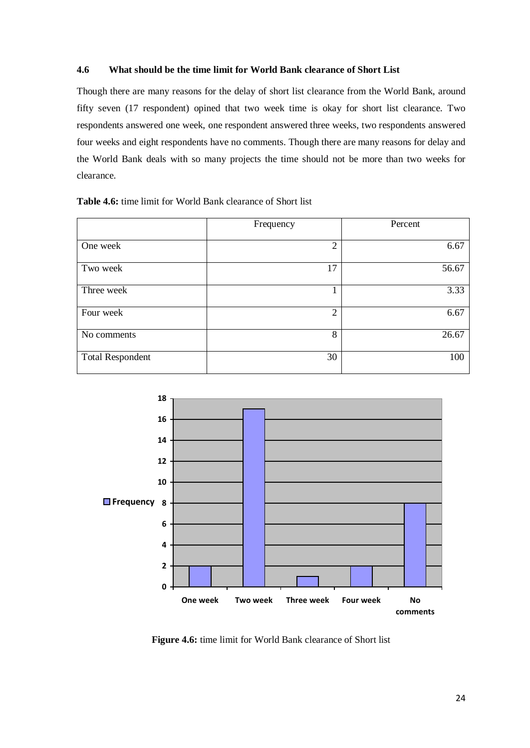## <span id="page-33-0"></span>**4.6 What should be the time limit for World Bank clearance of Short List**

Though there are many reasons for the delay of short list clearance from the World Bank, around fifty seven (17 respondent) opined that two week time is okay for short list clearance. Two respondents answered one week, one respondent answered three weeks, two respondents answered four weeks and eight respondents have no comments. Though there are many reasons for delay and the World Bank deals with so many projects the time should not be more than two weeks for clearance.

|  |  |  |  | <b>Table 4.6:</b> time limit for World Bank clearance of Short list |  |
|--|--|--|--|---------------------------------------------------------------------|--|
|--|--|--|--|---------------------------------------------------------------------|--|

|                         | Frequency      | Percent |
|-------------------------|----------------|---------|
| One week                | $\overline{2}$ | 6.67    |
| Two week                | 17             | 56.67   |
| Three week              |                | 3.33    |
| Four week               | $\overline{2}$ | 6.67    |
| No comments             | 8              | 26.67   |
| <b>Total Respondent</b> | 30             | 100     |



<span id="page-33-1"></span>**Figure 4.6:** time limit for World Bank clearance of Short list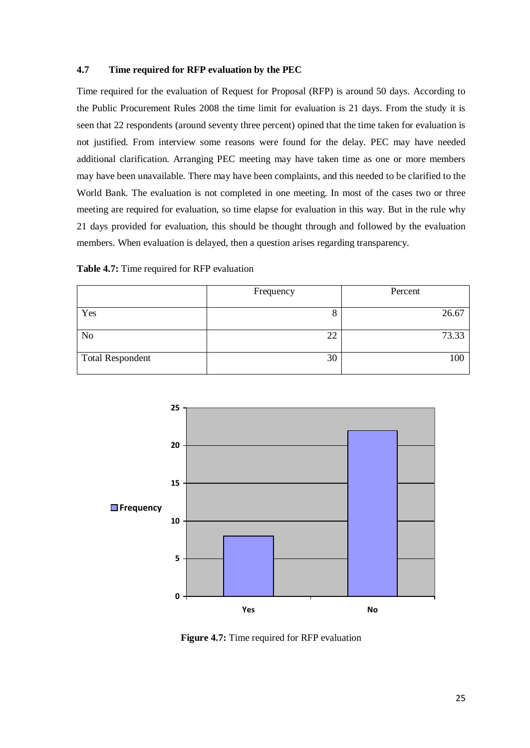## **4.7 Time required for RFP evaluation by the PEC**

Time required for the evaluation of Request for Proposal (RFP) is around 50 days. According to the Public Procurement Rules 2008 the time limit for evaluation is 21 days. From the study it is seen that 22 respondents (around seventy three percent) opined that the time taken for evaluation is not justified. From interview some reasons were found for the delay. PEC may have needed additional clarification. Arranging PEC meeting may have taken time as one or more members may have been unavailable. There may have been complaints, and this needed to be clarified to the World Bank. The evaluation is not completed in one meeting. In most of the cases two or three meeting are required for evaluation, so time elapse for evaluation in this way. But in the rule why 21 days provided for evaluation, this should be thought through and followed by the evaluation members. When evaluation is delayed, then a question arises regarding transparency.

| Table 4.7: Time required for RFP evaluation |  |  |
|---------------------------------------------|--|--|
|---------------------------------------------|--|--|

|                         | Frequency | Percent |
|-------------------------|-----------|---------|
|                         |           |         |
| Yes                     | O<br>O    | 26.67   |
|                         |           |         |
| N <sub>o</sub>          | 22        | 73.33   |
|                         |           |         |
| <b>Total Respondent</b> | 30        | 100     |
|                         |           |         |



**Figure 4.7:** Time required for RFP evaluation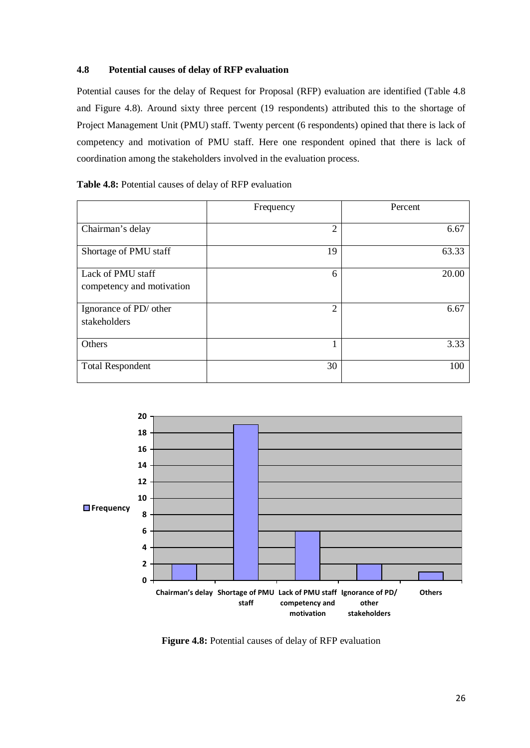## **4.8 Potential causes of delay of RFP evaluation**

Potential causes for the delay of Request for Proposal (RFP) evaluation are identified (Table 4.8 and Figure 4.8). Around sixty three percent (19 respondents) attributed this to the shortage of Project Management Unit (PMU) staff. Twenty percent (6 respondents) opined that there is lack of competency and motivation of PMU staff. Here one respondent opined that there is lack of coordination among the stakeholders involved in the evaluation process.

## **Table 4.8:** Potential causes of delay of RFP evaluation

|                                                | Frequency      | Percent |
|------------------------------------------------|----------------|---------|
| Chairman's delay                               | $\overline{2}$ | 6.67    |
| Shortage of PMU staff                          | 19             | 63.33   |
| Lack of PMU staff<br>competency and motivation | 6              | 20.00   |
| Ignorance of PD/ other<br>stakeholders         | $\overline{2}$ | 6.67    |
| Others                                         |                | 3.33    |
| <b>Total Respondent</b>                        | 30             | 100     |



**Figure 4.8:** Potential causes of delay of RFP evaluation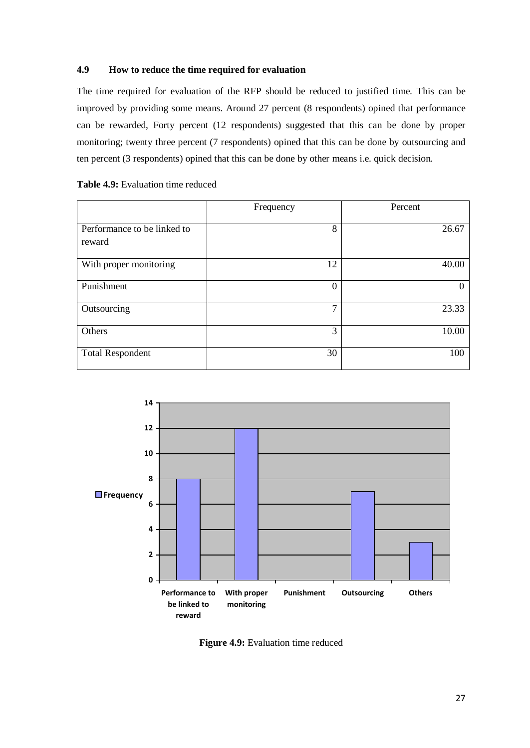## <span id="page-36-0"></span>**4.9 How to reduce the time required for evaluation**

The time required for evaluation of the RFP should be reduced to justified time. This can be improved by providing some means. Around 27 percent (8 respondents) opined that performance can be rewarded, Forty percent (12 respondents) suggested that this can be done by proper monitoring; twenty three percent (7 respondents) opined that this can be done by outsourcing and ten percent (3 respondents) opined that this can be done by other means i.e. quick decision.

## Table 4.9: Evaluation time reduced

|                                       | Frequency    | Percent |
|---------------------------------------|--------------|---------|
| Performance to be linked to<br>reward | 8            | 26.67   |
| With proper monitoring                | 12           | 40.00   |
| Punishment                            | 0            |         |
| Outsourcing                           | $\mathbf{r}$ | 23.33   |
| Others                                | 3            | 10.00   |
| <b>Total Respondent</b>               | 30           | 100     |



**Figure 4.9:** Evaluation time reduced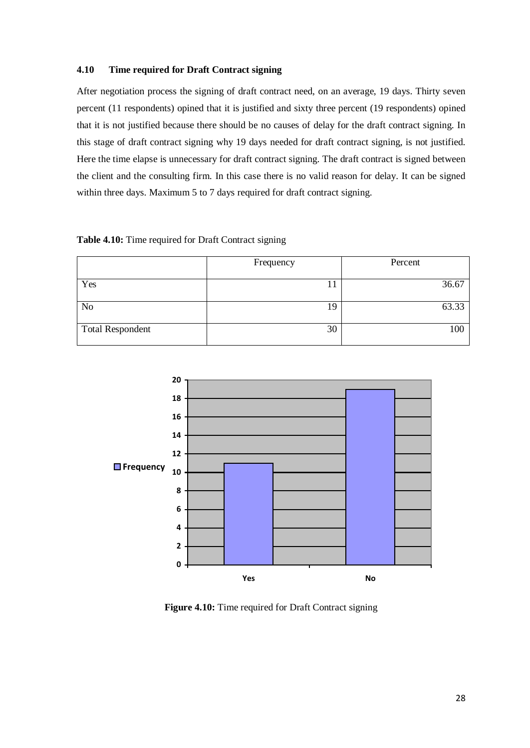## <span id="page-37-0"></span>**4.10 Time required for Draft Contract signing**

After negotiation process the signing of draft contract need, on an average, 19 days. Thirty seven percent (11 respondents) opined that it is justified and sixty three percent (19 respondents) opined that it is not justified because there should be no causes of delay for the draft contract signing. In this stage of draft contract signing why 19 days needed for draft contract signing, is not justified. Here the time elapse is unnecessary for draft contract signing. The draft contract is signed between the client and the consulting firm. In this case there is no valid reason for delay. It can be signed within three days. Maximum 5 to 7 days required for draft contract signing.

| Table 4.10: Time required for Draft Contract signing |  |  |  |  |  |  |
|------------------------------------------------------|--|--|--|--|--|--|
|------------------------------------------------------|--|--|--|--|--|--|

|                         | Frequency | Percent |
|-------------------------|-----------|---------|
| Yes                     | 11        | 36.67   |
| N <sub>o</sub>          | 19        | 63.33   |
| <b>Total Respondent</b> | 30        | 100     |



**Figure 4.10:** Time required for Draft Contract signing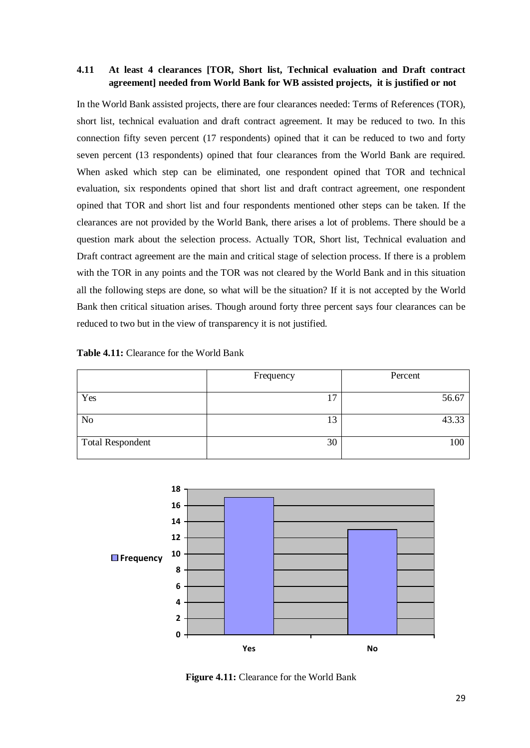## <span id="page-38-0"></span>**4.11 At least 4 clearances [TOR, Short list, Technical evaluation and Draft contract agreement] needed from World Bank for WB assisted projects, it is justified or not**

In the World Bank assisted projects, there are four clearances needed: Terms of References (TOR), short list, technical evaluation and draft contract agreement. It may be reduced to two. In this connection fifty seven percent (17 respondents) opined that it can be reduced to two and forty seven percent (13 respondents) opined that four clearances from the World Bank are required. When asked which step can be eliminated, one respondent opined that TOR and technical evaluation, six respondents opined that short list and draft contract agreement, one respondent opined that TOR and short list and four respondents mentioned other steps can be taken. If the clearances are not provided by the World Bank, there arises a lot of problems. There should be a question mark about the selection process. Actually TOR, Short list, Technical evaluation and Draft contract agreement are the main and critical stage of selection process. If there is a problem with the TOR in any points and the TOR was not cleared by the World Bank and in this situation all the following steps are done, so what will be the situation? If it is not accepted by the World Bank then critical situation arises. Though around forty three percent says four clearances can be reduced to two but in the view of transparency it is not justified.

## **Table 4.11:** Clearance for the World Bank

|                         | Frequency      | Percent |
|-------------------------|----------------|---------|
| Yes                     | 1 <sup>7</sup> | 56.67   |
| N <sub>o</sub>          | 13             | 43.33   |
| <b>Total Respondent</b> | 30             | 100     |



**Figure 4.11:** Clearance for the World Bank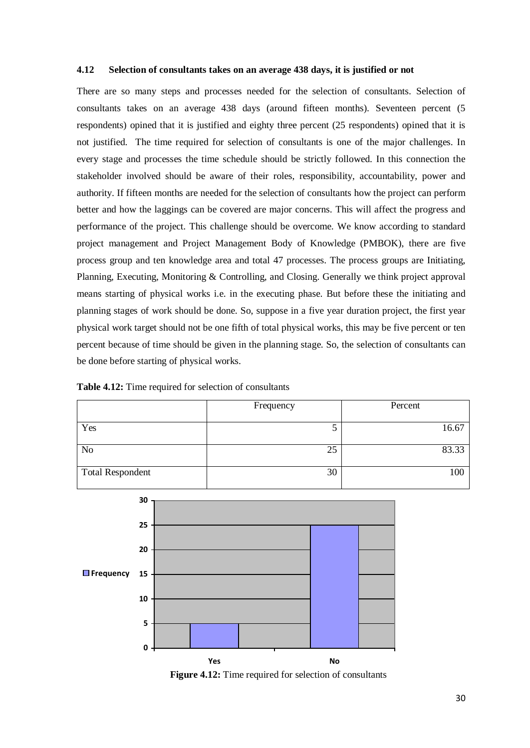#### <span id="page-39-0"></span>**4.12 Selection of consultants takes on an average 438 days, it is justified or not**

There are so many steps and processes needed for the selection of consultants. Selection of consultants takes on an average 438 days (around fifteen months). Seventeen percent (5 respondents) opined that it is justified and eighty three percent (25 respondents) opined that it is not justified. The time required for selection of consultants is one of the major challenges. In every stage and processes the time schedule should be strictly followed. In this connection the stakeholder involved should be aware of their roles, responsibility, accountability, power and authority. If fifteen months are needed for the selection of consultants how the project can perform better and how the laggings can be covered are major concerns. This will affect the progress and performance of the project. This challenge should be overcome. We know according to standard project management and Project Management Body of Knowledge (PMBOK), there are five process group and ten knowledge area and total 47 processes. The process groups are Initiating, Planning, Executing, Monitoring & Controlling, and Closing. Generally we think project approval means starting of physical works i.e. in the executing phase. But before these the initiating and planning stages of work should be done. So, suppose in a five year duration project, the first year physical work target should not be one fifth of total physical works, this may be five percent or ten percent because of time should be given in the planning stage. So, the selection of consultants can be done before starting of physical works.



**Table 4.12:** Time required for selection of consultants

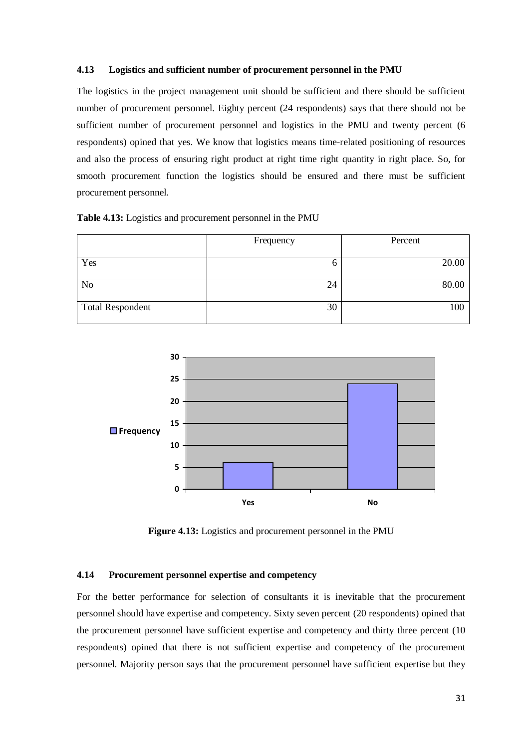#### <span id="page-40-0"></span>**4.13 Logistics and sufficient number of procurement personnel in the PMU**

The logistics in the project management unit should be sufficient and there should be sufficient number of procurement personnel. Eighty percent (24 respondents) says that there should not be sufficient number of procurement personnel and logistics in the PMU and twenty percent (6 respondents) opined that yes. We know that logistics means time-related positioning of resources and also the process of ensuring right product at right time right quantity in right place. So, for smooth procurement function the logistics should be ensured and there must be sufficient procurement personnel.

|  |  | Table 4.13: Logistics and procurement personnel in the PMU |
|--|--|------------------------------------------------------------|
|--|--|------------------------------------------------------------|

|                         | Frequency | Percent |
|-------------------------|-----------|---------|
| Yes                     | O         | 20.00   |
| No                      | 24        | 80.00   |
| <b>Total Respondent</b> | 30        | 100     |



**Figure 4.13:** Logistics and procurement personnel in the PMU

## <span id="page-40-1"></span>**4.14 Procurement personnel expertise and competency**

For the better performance for selection of consultants it is inevitable that the procurement personnel should have expertise and competency. Sixty seven percent (20 respondents) opined that the procurement personnel have sufficient expertise and competency and thirty three percent (10 respondents) opined that there is not sufficient expertise and competency of the procurement personnel. Majority person says that the procurement personnel have sufficient expertise but they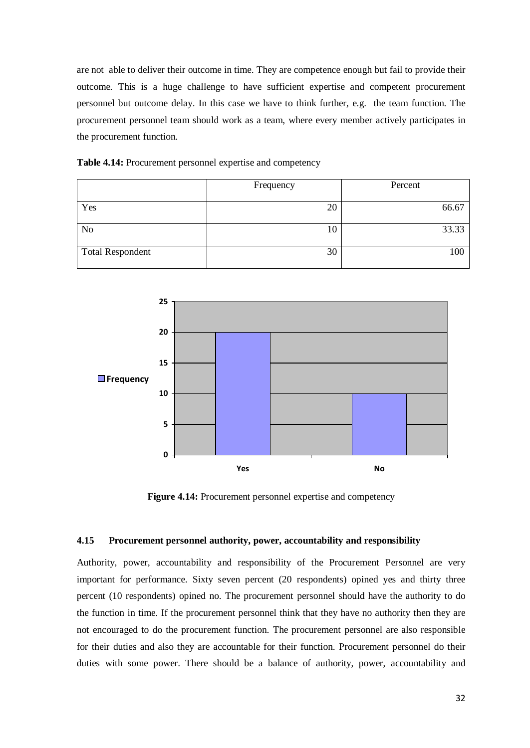are not able to deliver their outcome in time. They are competence enough but fail to provide their outcome. This is a huge challenge to have sufficient expertise and competent procurement personnel but outcome delay. In this case we have to think further, e.g. the team function. The procurement personnel team should work as a team, where every member actively participates in the procurement function.

| Table 4.14: Procurement personnel expertise and competency |  |  |  |
|------------------------------------------------------------|--|--|--|
|------------------------------------------------------------|--|--|--|

|                         | Frequency | Percent |
|-------------------------|-----------|---------|
|                         |           |         |
| Yes                     | 20        | 66.67   |
|                         |           |         |
| N <sub>o</sub>          | 10        | 33.33   |
|                         |           |         |
| <b>Total Respondent</b> | 30        | 100     |
|                         |           |         |



**Figure 4.14:** Procurement personnel expertise and competency

#### <span id="page-41-0"></span>**4.15 Procurement personnel authority, power, accountability and responsibility**

Authority, power, accountability and responsibility of the Procurement Personnel are very important for performance. Sixty seven percent (20 respondents) opined yes and thirty three percent (10 respondents) opined no. The procurement personnel should have the authority to do the function in time. If the procurement personnel think that they have no authority then they are not encouraged to do the procurement function. The procurement personnel are also responsible for their duties and also they are accountable for their function. Procurement personnel do their duties with some power. There should be a balance of authority, power, accountability and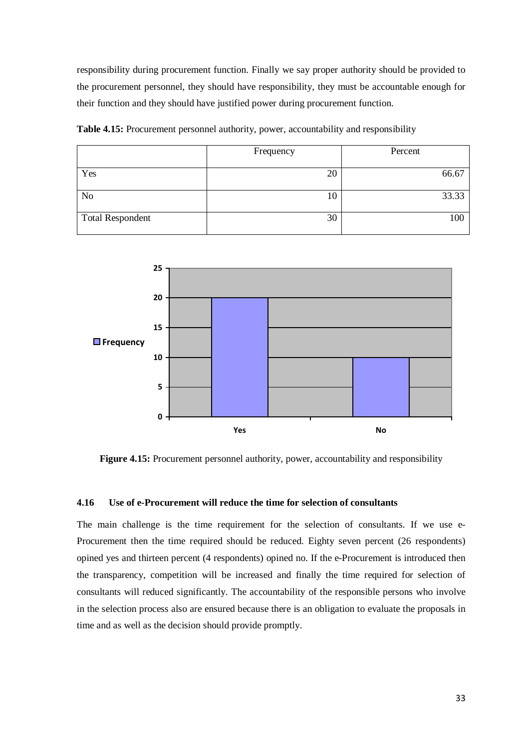responsibility during procurement function. Finally we say proper authority should be provided to the procurement personnel, they should have responsibility, they must be accountable enough for their function and they should have justified power during procurement function.

|                         | Frequency | Percent |
|-------------------------|-----------|---------|
| Yes                     | 20        | 66.67   |
| N <sub>o</sub>          | 10        | 33.33   |
| <b>Total Respondent</b> | 30        | 100     |

**Table 4.15:** Procurement personnel authority, power, accountability and responsibility



Figure 4.15: Procurement personnel authority, power, accountability and responsibility

## <span id="page-42-0"></span>**4.16 Use of e-Procurement will reduce the time for selection of consultants**

The main challenge is the time requirement for the selection of consultants. If we use e-Procurement then the time required should be reduced. Eighty seven percent (26 respondents) opined yes and thirteen percent (4 respondents) opined no. If the e-Procurement is introduced then the transparency, competition will be increased and finally the time required for selection of consultants will reduced significantly. The accountability of the responsible persons who involve in the selection process also are ensured because there is an obligation to evaluate the proposals in time and as well as the decision should provide promptly.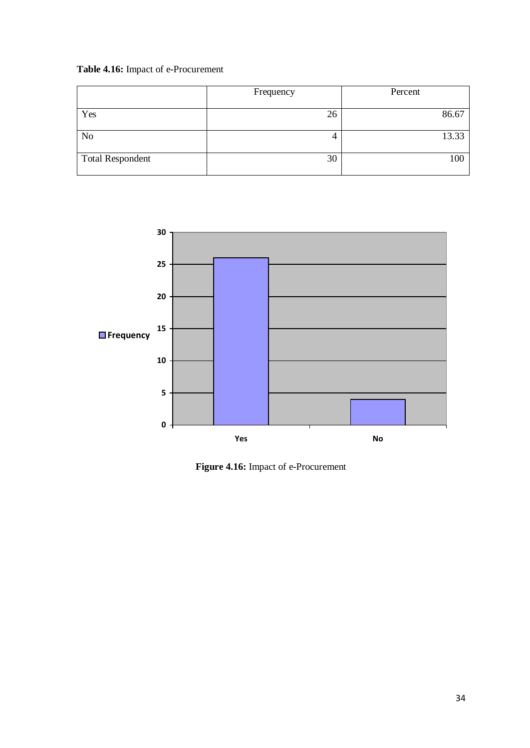# **Table 4.16:** Impact of e-Procurement

|                         | Frequency | Percent |
|-------------------------|-----------|---------|
| Yes                     | 26        | 86.67   |
| No                      |           | 13.33   |
| <b>Total Respondent</b> | 30        | 100     |



**Figure 4.16:** Impact of e-Procurement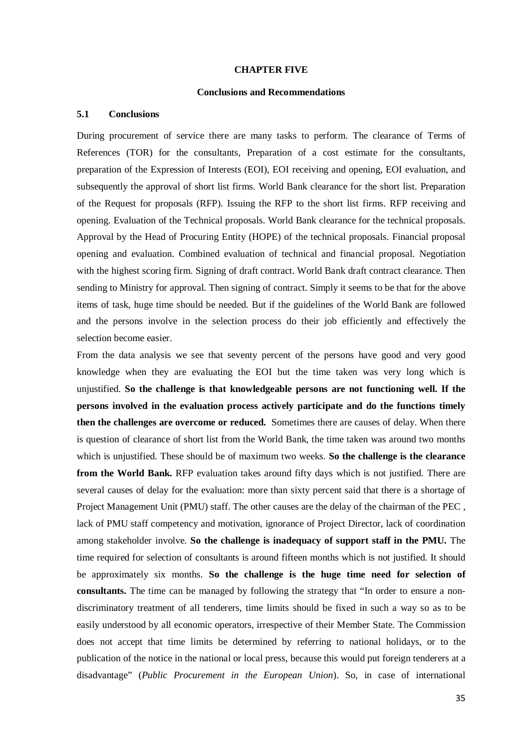#### **CHAPTER FIVE**

#### **Conclusions and Recommendations**

## <span id="page-44-2"></span><span id="page-44-1"></span><span id="page-44-0"></span>**5.1 Conclusions**

During procurement of service there are many tasks to perform. The clearance of Terms of References (TOR) for the consultants, Preparation of a cost estimate for the consultants, preparation of the Expression of Interests (EOI), EOI receiving and opening, EOI evaluation, and subsequently the approval of short list firms. World Bank clearance for the short list. Preparation of the Request for proposals (RFP). Issuing the RFP to the short list firms. RFP receiving and opening. Evaluation of the Technical proposals. World Bank clearance for the technical proposals. Approval by the Head of Procuring Entity (HOPE) of the technical proposals. Financial proposal opening and evaluation. Combined evaluation of technical and financial proposal. Negotiation with the highest scoring firm. Signing of draft contract. World Bank draft contract clearance. Then sending to Ministry for approval. Then signing of contract. Simply it seems to be that for the above items of task, huge time should be needed. But if the guidelines of the World Bank are followed and the persons involve in the selection process do their job efficiently and effectively the selection become easier.

From the data analysis we see that seventy percent of the persons have good and very good knowledge when they are evaluating the EOI but the time taken was very long which is unjustified. **So the challenge is that knowledgeable persons are not functioning well. If the persons involved in the evaluation process actively participate and do the functions timely then the challenges are overcome or reduced.** Sometimes there are causes of delay. When there is question of clearance of short list from the World Bank, the time taken was around two months which is unjustified. These should be of maximum two weeks. **So the challenge is the clearance from the World Bank.** RFP evaluation takes around fifty days which is not justified. There are several causes of delay for the evaluation: more than sixty percent said that there is a shortage of Project Management Unit (PMU) staff. The other causes are the delay of the chairman of the PEC , lack of PMU staff competency and motivation, ignorance of Project Director, lack of coordination among stakeholder involve. **So the challenge is inadequacy of support staff in the PMU.** The time required for selection of consultants is around fifteen months which is not justified. It should be approximately six months. **So the challenge is the huge time need for selection of consultants.** The time can be managed by following the strategy that "In order to ensure a nondiscriminatory treatment of all tenderers, time limits should be fixed in such a way so as to be easily understood by all economic operators, irrespective of their Member State. The Commission does not accept that time limits be determined by referring to national holidays, or to the publication of the notice in the national or local press, because this would put foreign tenderers at a disadvantage" (*Public Procurement in the European Union*). So, in case of international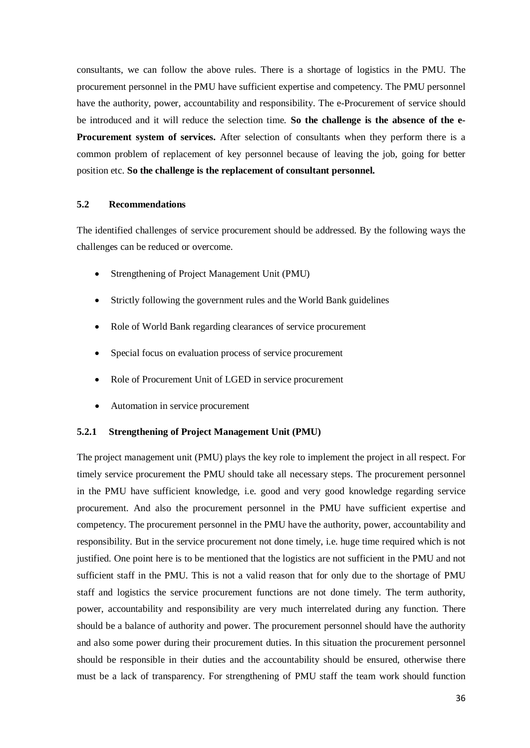consultants, we can follow the above rules. There is a shortage of logistics in the PMU. The procurement personnel in the PMU have sufficient expertise and competency. The PMU personnel have the authority, power, accountability and responsibility. The e-Procurement of service should be introduced and it will reduce the selection time. **So the challenge is the absence of the e-Procurement system of services.** After selection of consultants when they perform there is a common problem of replacement of key personnel because of leaving the job, going for better position etc. **So the challenge is the replacement of consultant personnel.**

## **5.2 Recommendations**

The identified challenges of service procurement should be addressed. By the following ways the challenges can be reduced or overcome.

- Strengthening of Project Management Unit (PMU)
- Strictly following the government rules and the World Bank guidelines
- Role of World Bank regarding clearances of service procurement
- Special focus on evaluation process of service procurement
- Role of Procurement Unit of LGED in service procurement
- Automation in service procurement

#### **5.2.1 Strengthening of Project Management Unit (PMU)**

The project management unit (PMU) plays the key role to implement the project in all respect. For timely service procurement the PMU should take all necessary steps. The procurement personnel in the PMU have sufficient knowledge, i.e. good and very good knowledge regarding service procurement. And also the procurement personnel in the PMU have sufficient expertise and competency. The procurement personnel in the PMU have the authority, power, accountability and responsibility. But in the service procurement not done timely, i.e. huge time required which is not justified. One point here is to be mentioned that the logistics are not sufficient in the PMU and not sufficient staff in the PMU. This is not a valid reason that for only due to the shortage of PMU staff and logistics the service procurement functions are not done timely. The term authority, power, accountability and responsibility are very much interrelated during any function. There should be a balance of authority and power. The procurement personnel should have the authority and also some power during their procurement duties. In this situation the procurement personnel should be responsible in their duties and the accountability should be ensured, otherwise there must be a lack of transparency. For strengthening of PMU staff the team work should function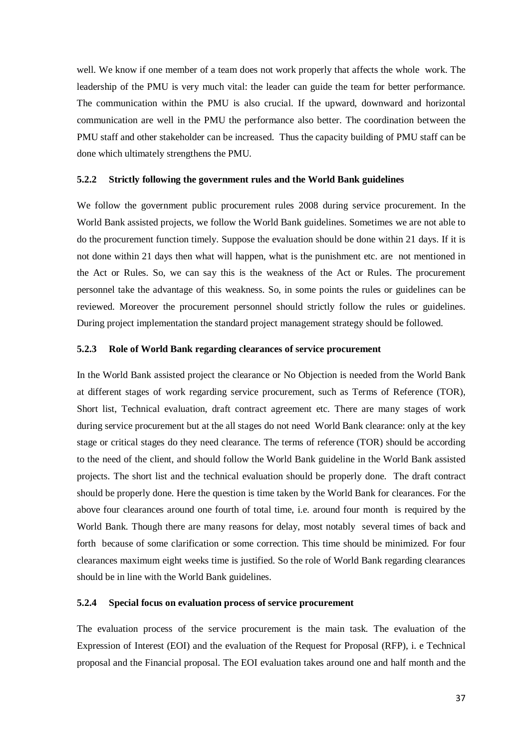well. We know if one member of a team does not work properly that affects the whole work. The leadership of the PMU is very much vital: the leader can guide the team for better performance. The communication within the PMU is also crucial. If the upward, downward and horizontal communication are well in the PMU the performance also better. The coordination between the PMU staff and other stakeholder can be increased. Thus the capacity building of PMU staff can be done which ultimately strengthens the PMU.

### **5.2.2 Strictly following the government rules and the World Bank guidelines**

We follow the government public procurement rules 2008 during service procurement. In the World Bank assisted projects, we follow the World Bank guidelines. Sometimes we are not able to do the procurement function timely. Suppose the evaluation should be done within 21 days. If it is not done within 21 days then what will happen, what is the punishment etc. are not mentioned in the Act or Rules. So, we can say this is the weakness of the Act or Rules. The procurement personnel take the advantage of this weakness. So, in some points the rules or guidelines can be reviewed. Moreover the procurement personnel should strictly follow the rules or guidelines. During project implementation the standard project management strategy should be followed.

#### **5.2.3 Role of World Bank regarding clearances of service procurement**

In the World Bank assisted project the clearance or No Objection is needed from the World Bank at different stages of work regarding service procurement, such as Terms of Reference (TOR), Short list, Technical evaluation, draft contract agreement etc. There are many stages of work during service procurement but at the all stages do not need World Bank clearance: only at the key stage or critical stages do they need clearance. The terms of reference (TOR) should be according to the need of the client, and should follow the World Bank guideline in the World Bank assisted projects. The short list and the technical evaluation should be properly done. The draft contract should be properly done. Here the question is time taken by the World Bank for clearances. For the above four clearances around one fourth of total time, i.e. around four month is required by the World Bank. Though there are many reasons for delay, most notably several times of back and forth because of some clarification or some correction. This time should be minimized. For four clearances maximum eight weeks time is justified. So the role of World Bank regarding clearances should be in line with the World Bank guidelines.

#### **5.2.4 Special focus on evaluation process of service procurement**

The evaluation process of the service procurement is the main task. The evaluation of the Expression of Interest (EOI) and the evaluation of the Request for Proposal (RFP), i. e Technical proposal and the Financial proposal. The EOI evaluation takes around one and half month and the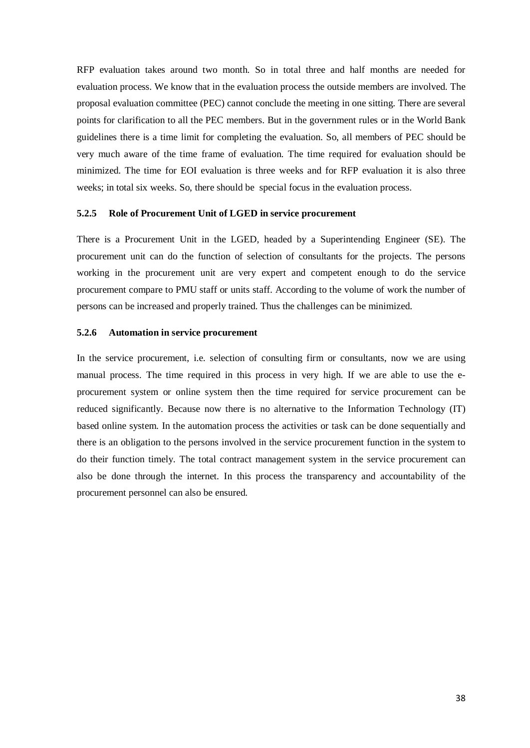RFP evaluation takes around two month. So in total three and half months are needed for evaluation process. We know that in the evaluation process the outside members are involved. The proposal evaluation committee (PEC) cannot conclude the meeting in one sitting. There are several points for clarification to all the PEC members. But in the government rules or in the World Bank guidelines there is a time limit for completing the evaluation. So, all members of PEC should be very much aware of the time frame of evaluation. The time required for evaluation should be minimized. The time for EOI evaluation is three weeks and for RFP evaluation it is also three weeks; in total six weeks. So, there should be special focus in the evaluation process.

### **5.2.5 Role of Procurement Unit of LGED in service procurement**

There is a Procurement Unit in the LGED, headed by a Superintending Engineer (SE). The procurement unit can do the function of selection of consultants for the projects. The persons working in the procurement unit are very expert and competent enough to do the service procurement compare to PMU staff or units staff. According to the volume of work the number of persons can be increased and properly trained. Thus the challenges can be minimized.

#### **5.2.6 Automation in service procurement**

In the service procurement, i.e. selection of consulting firm or consultants, now we are using manual process. The time required in this process in very high. If we are able to use the eprocurement system or online system then the time required for service procurement can be reduced significantly. Because now there is no alternative to the Information Technology (IT) based online system. In the automation process the activities or task can be done sequentially and there is an obligation to the persons involved in the service procurement function in the system to do their function timely. The total contract management system in the service procurement can also be done through the internet. In this process the transparency and accountability of the procurement personnel can also be ensured.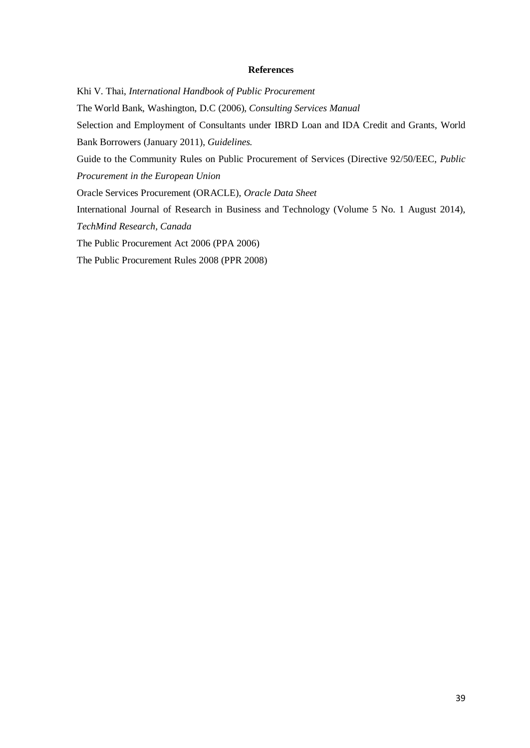#### **References**

<span id="page-48-0"></span>Khi V. Thai, *International Handbook of Public Procurement* The World Bank, Washington, D.C (2006), *Consulting Services Manual* Selection and Employment of Consultants under IBRD Loan and IDA Credit and Grants, World Bank Borrowers (January 2011), *Guidelines.* Guide to the Community Rules on Public Procurement of Services (Directive 92/50/EEC, *Public Procurement in the European Union* Oracle Services Procurement (ORACLE), *Oracle Data Sheet* International Journal of Research in Business and Technology (Volume 5 No. 1 August 2014), *TechMind Research, Canada* The Public Procurement Act 2006 (PPA 2006)

The Public Procurement Rules 2008 (PPR 2008)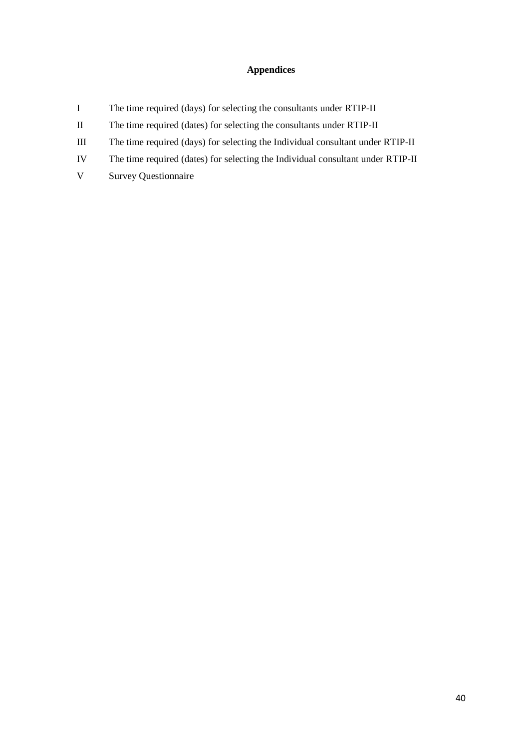## **Appendices**

- <span id="page-49-0"></span>I The time required (days) for selecting the consultants under RTIP-II
- II The time required (dates) for selecting the consultants under RTIP-II
- III The time required (days) for selecting the Individual consultant under RTIP-II
- IV The time required (dates) for selecting the Individual consultant under RTIP-II
- V Survey Questionnaire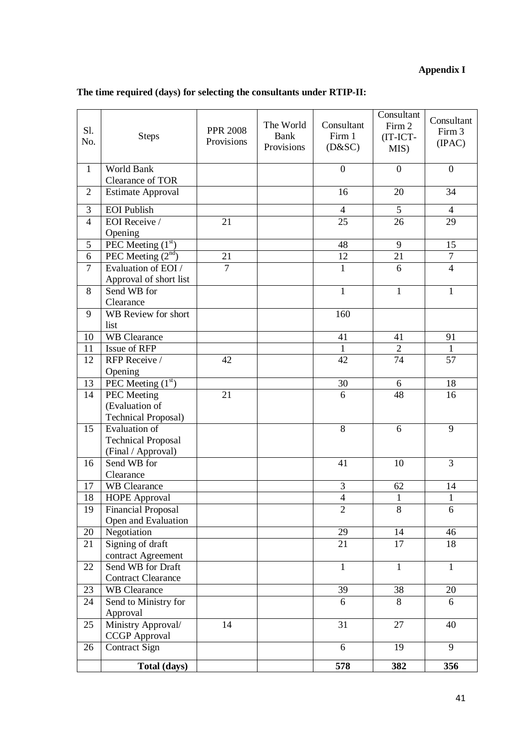# **Appendix I**

| The time required (days) for selecting the consultants under RTIP-II: |  |  |  |  |
|-----------------------------------------------------------------------|--|--|--|--|
|-----------------------------------------------------------------------|--|--|--|--|

| S1.<br>No.     | <b>Steps</b>                                | <b>PPR 2008</b><br>Provisions | The World<br>Bank<br>Provisions | Consultant<br>Firm 1<br>(D&SC) | Consultant<br>Firm 2<br>(IT-ICT-<br>MIS) | Consultant<br>Firm 3<br>(IPAC) |
|----------------|---------------------------------------------|-------------------------------|---------------------------------|--------------------------------|------------------------------------------|--------------------------------|
| $\mathbf{1}$   | World Bank<br>Clearance of TOR              |                               |                                 | $\boldsymbol{0}$               | $\boldsymbol{0}$                         | $\overline{0}$                 |
| $\sqrt{2}$     | <b>Estimate Approval</b>                    |                               |                                 | 16                             | 20                                       | 34                             |
| 3              | <b>EOI</b> Publish                          |                               |                                 | $\overline{4}$                 | 5                                        | $\overline{4}$                 |
| $\overline{4}$ | EOI Receive/                                | 21                            |                                 | 25                             | 26                                       | 29                             |
|                | Opening                                     |                               |                                 |                                |                                          |                                |
| 5              | PEC Meeting $(1st)$                         |                               |                                 | $\overline{48}$                | $\overline{9}$                           | $\overline{15}$                |
| 6              | PEC Meeting $(2nd)$                         | 21                            |                                 | 12                             | 21                                       | $\boldsymbol{7}$               |
| $\tau$         | Evaluation of EOI /                         | $\overline{7}$                |                                 | $\mathbf{1}$                   | 6                                        | $\overline{4}$                 |
|                | Approval of short list                      |                               |                                 |                                |                                          |                                |
| 8              | Send WB for                                 |                               |                                 | $\mathbf{1}$                   | $\mathbf{1}$                             | $\overline{1}$                 |
| 9              | Clearance<br>WB Review for short            |                               |                                 | 160                            |                                          |                                |
|                | list                                        |                               |                                 |                                |                                          |                                |
| 10             | <b>WB</b> Clearance                         |                               |                                 | 41                             | 41                                       | 91                             |
| 11             | Issue of RFP                                |                               |                                 | $\mathbf{1}$                   | $\overline{2}$                           | $\mathbf{1}$                   |
| 12             | RFP Receive /                               | 42                            |                                 | 42                             | 74                                       | 57                             |
|                | Opening                                     |                               |                                 |                                |                                          |                                |
| 13             | PEC Meeting $(1st)$                         |                               |                                 | 30                             | 6                                        | 18                             |
| 14             | <b>PEC</b> Meeting                          | 21                            |                                 | 6                              | 48                                       | 16                             |
|                | (Evaluation of                              |                               |                                 |                                |                                          |                                |
|                | <b>Technical Proposal)</b>                  |                               |                                 |                                |                                          |                                |
| 15             | <b>Evaluation</b> of                        |                               |                                 | 8                              | 6                                        | 9                              |
|                | <b>Technical Proposal</b>                   |                               |                                 |                                |                                          |                                |
| 16             | (Final / Approval)<br>Send WB for           |                               |                                 | 41                             | 10                                       | 3                              |
|                | Clearance                                   |                               |                                 |                                |                                          |                                |
| 17             | <b>WB</b> Clearance                         |                               |                                 | $\mathfrak{Z}$                 | 62                                       | 14                             |
| 18             | <b>HOPE Approval</b>                        |                               |                                 | $\overline{4}$                 | $\mathbf{1}$                             | $\mathbf{1}$                   |
| 19             | <b>Financial Proposal</b>                   |                               |                                 | $\overline{2}$                 | 8                                        | 6                              |
|                | Open and Evaluation                         |                               |                                 |                                |                                          |                                |
| 20             | Negotiation                                 |                               |                                 | $\overline{29}$                | 14                                       | 46                             |
| 21             | Signing of draft                            |                               |                                 | 21                             | 17                                       | 18                             |
|                | contract Agreement                          |                               |                                 |                                |                                          |                                |
| 22             | Send WB for Draft                           |                               |                                 | $\mathbf{1}$                   | $\mathbf{1}$                             | $\mathbf{1}$                   |
|                | <b>Contract Clearance</b>                   |                               |                                 |                                |                                          |                                |
| 23<br>24       | <b>WB</b> Clearance<br>Send to Ministry for |                               |                                 | 39<br>6                        | 38<br>8                                  | 20<br>6                        |
|                | Approval                                    |                               |                                 |                                |                                          |                                |
| 25             | Ministry Approval/                          | 14                            |                                 | 31                             | 27                                       | 40                             |
|                | <b>CCGP</b> Approval                        |                               |                                 |                                |                                          |                                |
| 26             | Contract Sign                               |                               |                                 | 6                              | 19                                       | 9                              |
|                | Total (days)                                |                               |                                 | 578                            | 382                                      | 356                            |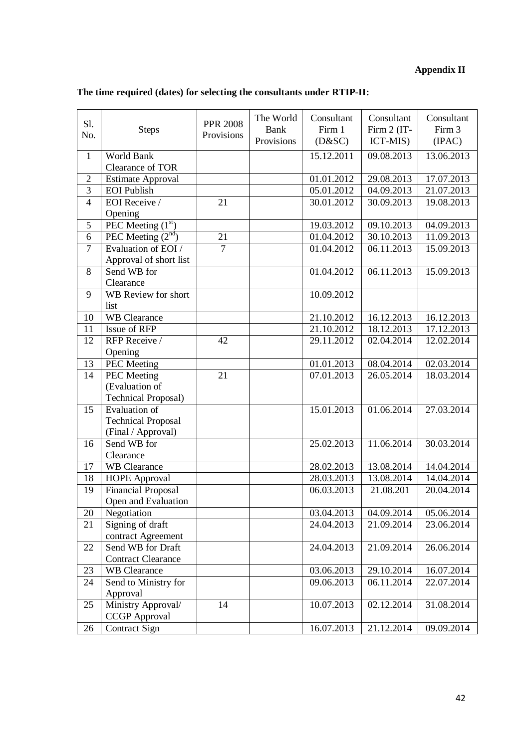# **Appendix II**

| S1.<br>No.     | <b>Steps</b>                                     | <b>PPR 2008</b><br>Provisions | The World<br>Bank<br>Provisions | Consultant<br>Firm 1<br>(D&SC) | Consultant<br>Firm 2 (IT-<br>ICT-MIS) | Consultant<br>Firm 3<br>(IPAC) |
|----------------|--------------------------------------------------|-------------------------------|---------------------------------|--------------------------------|---------------------------------------|--------------------------------|
| $\mathbf{1}$   | World Bank<br>Clearance of TOR                   |                               |                                 | 15.12.2011                     | 09.08.2013                            | 13.06.2013                     |
| $\sqrt{2}$     | <b>Estimate Approval</b>                         |                               |                                 | 01.01.2012                     | 29.08.2013                            | 17.07.2013                     |
| $\overline{3}$ | <b>EOI</b> Publish                               |                               |                                 | 05.01.2012                     | 04.09.2013                            | 21.07.2013                     |
| $\overline{4}$ | EOI Receive /                                    | 21                            |                                 | 30.01.2012                     | 30.09.2013                            | 19.08.2013                     |
|                | Opening                                          |                               |                                 |                                |                                       |                                |
| $\overline{5}$ | PEC Meeting $(1st)$                              |                               |                                 | 19.03.2012                     | 09.10.2013                            | 04.09.2013                     |
| $\overline{6}$ | PEC Meeting $(2nd)$                              | 21                            |                                 | 01.04.2012                     | 30.10.2013                            | 11.09.2013                     |
| $\overline{7}$ | Evaluation of EOI /                              | $\overline{7}$                |                                 | 01.04.2012                     | 06.11.2013                            | 15.09.2013                     |
|                | Approval of short list                           |                               |                                 |                                |                                       |                                |
| 8              | Send WB for                                      |                               |                                 | 01.04.2012                     | 06.11.2013                            | 15.09.2013                     |
|                | Clearance                                        |                               |                                 |                                |                                       |                                |
| 9              | WB Review for short                              |                               |                                 | 10.09.2012                     |                                       |                                |
|                | list                                             |                               |                                 |                                |                                       |                                |
| 10             | <b>WB</b> Clearance                              |                               |                                 | 21.10.2012                     | 16.12.2013                            | 16.12.2013                     |
| 11             | Issue of RFP                                     |                               |                                 | 21.10.2012                     | 18.12.2013                            | 17.12.2013                     |
| 12             | RFP Receive /                                    | 42                            |                                 | 29.11.2012                     | 02.04.2014                            | 12.02.2014                     |
|                | Opening                                          |                               |                                 |                                |                                       |                                |
| 13             | <b>PEC</b> Meeting                               |                               |                                 | 01.01.2013                     | 08.04.2014                            | 02.03.2014                     |
| 14             | <b>PEC</b> Meeting                               | 21                            |                                 | 07.01.2013                     | 26.05.2014                            | 18.03.2014                     |
|                | (Evaluation of                                   |                               |                                 |                                |                                       |                                |
|                | <b>Technical Proposal)</b>                       |                               |                                 |                                |                                       |                                |
| 15             | <b>Evaluation of</b>                             |                               |                                 | 15.01.2013                     | 01.06.2014                            | 27.03.2014                     |
|                | <b>Technical Proposal</b>                        |                               |                                 |                                |                                       |                                |
|                | (Final / Approval)                               |                               |                                 |                                |                                       |                                |
| 16             | Send WB for                                      |                               |                                 | 25.02.2013                     | 11.06.2014                            | 30.03.2014                     |
| 17             | Clearance<br><b>WB</b> Clearance                 |                               |                                 |                                | 13.08.2014                            |                                |
|                |                                                  |                               |                                 | 28.02.2013<br>28.03.2013       | 13.08.2014                            | 14.04.2014<br>14.04.2014       |
| 18<br>19       | <b>HOPE Approval</b>                             |                               |                                 |                                | 21.08.201                             | 20.04.2014                     |
|                | <b>Financial Proposal</b><br>Open and Evaluation |                               |                                 | 06.03.2013                     |                                       |                                |
| 20             | Negotiation                                      |                               |                                 | 03.04.2013                     | 04.09.2014                            | 05.06.2014                     |
| 21             | Signing of draft                                 |                               |                                 | 24.04.2013                     | 21.09.2014                            | 23.06.2014                     |
|                | contract Agreement                               |                               |                                 |                                |                                       |                                |
| 22             | Send WB for Draft                                |                               |                                 | 24.04.2013                     | 21.09.2014                            | 26.06.2014                     |
|                | <b>Contract Clearance</b>                        |                               |                                 |                                |                                       |                                |
| 23             | <b>WB</b> Clearance                              |                               |                                 | 03.06.2013                     | 29.10.2014                            | 16.07.2014                     |
| 24             | Send to Ministry for                             |                               |                                 | 09.06.2013                     | 06.11.2014                            | 22.07.2014                     |
|                | Approval                                         |                               |                                 |                                |                                       |                                |
| 25             | Ministry Approval/                               | 14                            |                                 | 10.07.2013                     | 02.12.2014                            | 31.08.2014                     |
|                | <b>CCGP</b> Approval                             |                               |                                 |                                |                                       |                                |
| 26             | Contract Sign                                    |                               |                                 | 16.07.2013                     | 21.12.2014                            | 09.09.2014                     |

# **The time required (dates) for selecting the consultants under RTIP-II:**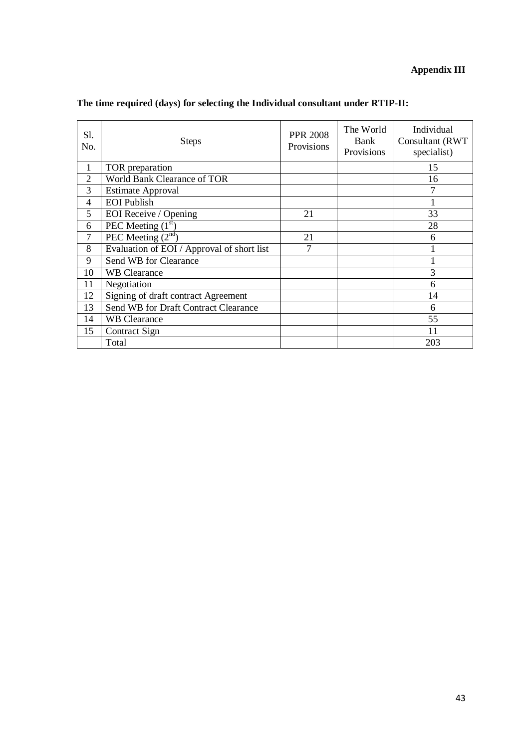# **Appendix III**

| S1.<br>No.     | <b>Steps</b>                               | <b>PPR 2008</b><br>Provisions | The World<br>Bank<br>Provisions | Individual<br>Consultant (RWT)<br>specialist) |
|----------------|--------------------------------------------|-------------------------------|---------------------------------|-----------------------------------------------|
| 1              | TOR preparation                            |                               |                                 | 15                                            |
| $\overline{2}$ | World Bank Clearance of TOR                |                               |                                 | 16                                            |
| 3              | <b>Estimate Approval</b>                   |                               |                                 |                                               |
| 4              | <b>EOI</b> Publish                         |                               |                                 |                                               |
| 5              | EOI Receive / Opening                      | 21                            |                                 | 33                                            |
| 6              | PEC Meeting $(1st)$                        |                               |                                 | 28                                            |
| 7              | PEC Meeting $(2nd)$                        | 21                            |                                 | 6                                             |
| 8              | Evaluation of EOI / Approval of short list | 7                             |                                 |                                               |
| 9              | Send WB for Clearance                      |                               |                                 |                                               |
| 10             | <b>WB</b> Clearance                        |                               |                                 | 3                                             |
| 11             | Negotiation                                |                               |                                 | 6                                             |
| 12             | Signing of draft contract Agreement        |                               |                                 | 14                                            |
| 13             | Send WB for Draft Contract Clearance       |                               |                                 | 6                                             |
| 14             | <b>WB Clearance</b>                        |                               |                                 | 55                                            |
| 15             | Contract Sign                              |                               |                                 | 11                                            |
|                | Total                                      |                               |                                 | 203                                           |

# **The time required (days) for selecting the Individual consultant under RTIP-II:**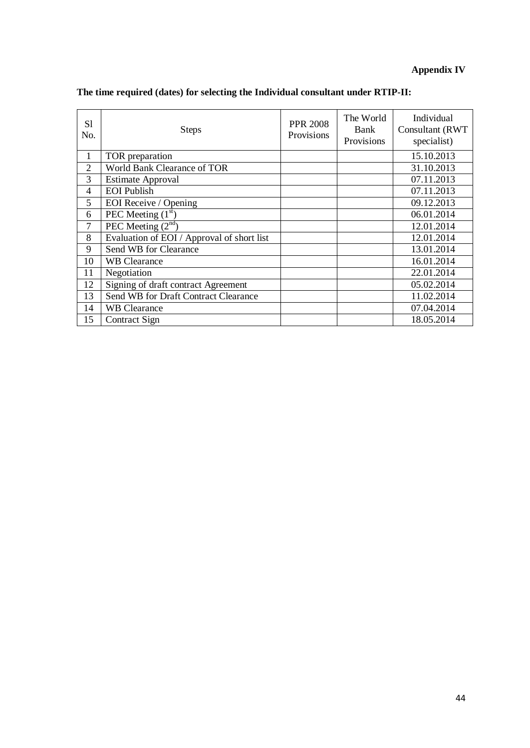# **Appendix IV**

| S1<br>No.      | <b>Steps</b>                               | <b>PPR 2008</b><br>Provisions | The World<br>Bank<br>Provisions | Individual<br>Consultant (RWT<br>specialist) |
|----------------|--------------------------------------------|-------------------------------|---------------------------------|----------------------------------------------|
| 1              | TOR preparation                            |                               |                                 | 15.10.2013                                   |
| $\overline{2}$ | World Bank Clearance of TOR                |                               |                                 | 31.10.2013                                   |
| 3              | <b>Estimate Approval</b>                   |                               |                                 | 07.11.2013                                   |
| 4              | <b>EOI</b> Publish                         |                               |                                 | 07.11.2013                                   |
| 5              | EOI Receive / Opening                      |                               |                                 | 09.12.2013                                   |
| 6              | PEC Meeting $(1st)$                        |                               |                                 | 06.01.2014                                   |
| 7              | PEC Meeting $(2nd)$                        |                               |                                 | 12.01.2014                                   |
| 8              | Evaluation of EOI / Approval of short list |                               |                                 | 12.01.2014                                   |
| 9              | Send WB for Clearance                      |                               |                                 | 13.01.2014                                   |
| 10             | <b>WB</b> Clearance                        |                               |                                 | 16.01.2014                                   |
| 11             | Negotiation                                |                               |                                 | 22.01.2014                                   |
| 12             | Signing of draft contract Agreement        |                               |                                 | 05.02.2014                                   |
| 13             | Send WB for Draft Contract Clearance       |                               |                                 | 11.02.2014                                   |
| 14             | <b>WB Clearance</b>                        |                               |                                 | 07.04.2014                                   |
| 15             | Contract Sign                              |                               |                                 | 18.05.2014                                   |

# **The time required (dates) for selecting the Individual consultant under RTIP-II:**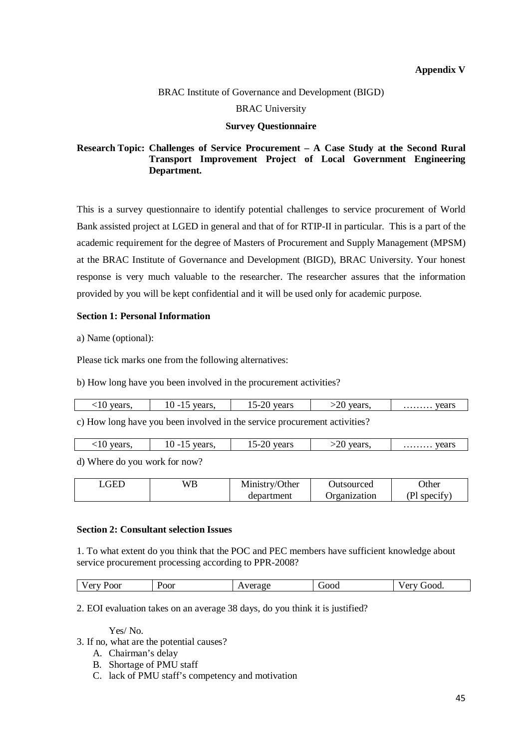#### BRAC Institute of Governance and Development (BIGD)

#### BRAC University

#### **Survey Questionnaire**

## **Research Topic: Challenges of Service Procurement – A Case Study at the Second Rural Transport Improvement Project of Local Government Engineering Department.**

This is a survey questionnaire to identify potential challenges to service procurement of World Bank assisted project at LGED in general and that of for RTIP-II in particular. This is a part of the academic requirement for the degree of Masters of Procurement and Supply Management (MPSM) at the BRAC Institute of Governance and Development (BIGD), BRAC University. Your honest response is very much valuable to the researcher. The researcher assures that the information provided by you will be kept confidential and it will be used only for academic purpose.

### **Section 1: Personal Information**

a) Name (optional):

Please tick marks one from the following alternatives:

b) How long have you been involved in the procurement activities?

| ears.<br>- 1 V | vears<br>-<br>- Calo.<br>$\overline{1}$ | years<br>$\overline{\phantom{0}}$<br>-2 U<br>⊥ັ | vears.<br>ั∠∪ | vears<br>. |
|----------------|-----------------------------------------|-------------------------------------------------|---------------|------------|
|                |                                         |                                                 |               |            |

c) How long have you been involved in the service procurement activities?

| vears.<br>vears<br>vears.<br>vears.<br>$\mathbf{r}$<br>. I U<br>c.<br>$\sim$<br>v<br>.<br>∸<br>-<br>. .<br>. |  |  | nη |  | years |
|--------------------------------------------------------------------------------------------------------------|--|--|----|--|-------|
|--------------------------------------------------------------------------------------------------------------|--|--|----|--|-------|

d) Where do you work for now?

| GET | WB | Ministry/Other | Jutsourced   | <b>Other</b> |
|-----|----|----------------|--------------|--------------|
|     |    | department     | Organization | (Pl specify) |

## **Section 2: Consultant selection Issues**

1. To what extent do you think that the POC and PEC members have sufficient knowledge about service procurement processing according to PPR-2008?

| $\sim$ 1<br>'oor<br>'OOI<br>ັ<br>$-$ | . ച ന ര | <b>TOOC</b> | $\sim$ 443<br>OOQ. |
|--------------------------------------|---------|-------------|--------------------|
|--------------------------------------|---------|-------------|--------------------|

2. EOI evaluation takes on an average 38 days, do you think it is justified?

Yes/ No.

- 3. If no, what are the potential causes?
	- A. Chairman's delay
	- B. Shortage of PMU staff
	- C. lack of PMU staff's competency and motivation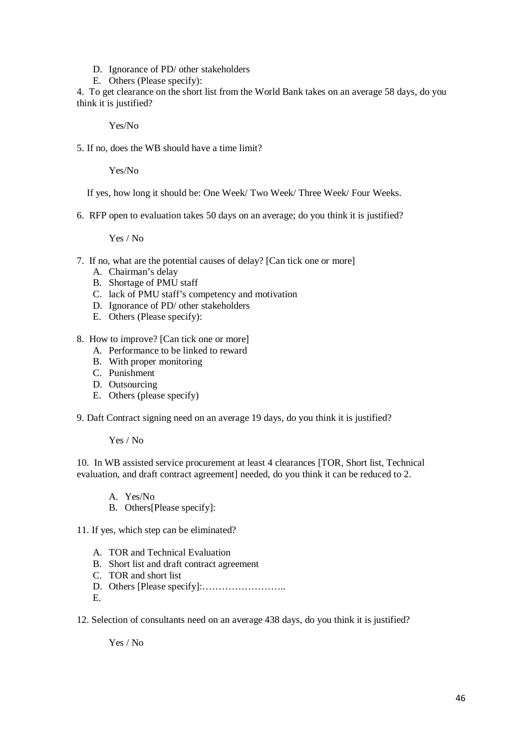- D. Ignorance of PD/ other stakeholders
- E. Others (Please specify):

4. To get clearance on the short list from the World Bank takes on an average 58 days, do you think it is justified?

Yes/No

5. If no, does the WB should have a time limit?

Yes/No

If yes, how long it should be: One Week/ Two Week/ Three Week/ Four Weeks.

6. RFP open to evaluation takes 50 days on an average; do you think it is justified?

Yes / No

- 7. If no, what are the potential causes of delay? [Can tick one or more]
	- A. Chairman's delay
	- B. Shortage of PMU staff
	- C. lack of PMU staff's competency and motivation
	- D. Ignorance of PD/ other stakeholders
	- E. Others (Please specify):
- 8. How to improve? [Can tick one or more]
	- A. Performance to be linked to reward
	- B. With proper monitoring
	- C. Punishment
	- D. Outsourcing
	- E. Others (please specify)

9. Daft Contract signing need on an average 19 days, do you think it is justified?

Yes / No

10. In WB assisted service procurement at least 4 clearances [TOR, Short list, Technical evaluation, and draft contract agreement] needed, do you think it can be reduced to 2.

- A. Yes/No
- B. Others[Please specify]:
- 11. If yes, which step can be eliminated?
	- A. TOR and Technical Evaluation
	- B. Short list and draft contract agreement
	- C. TOR and short list
	- D. Others [Please specify]:……………………..
	- E.

12. Selection of consultants need on an average 438 days, do you think it is justified?

Yes / No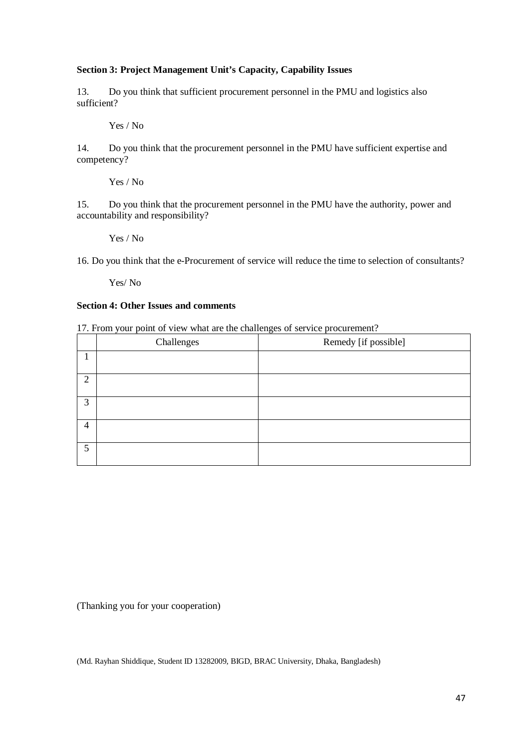## **Section 3: Project Management Unit's Capacity, Capability Issues**

13. Do you think that sufficient procurement personnel in the PMU and logistics also sufficient?

Yes / No

14. Do you think that the procurement personnel in the PMU have sufficient expertise and competency?

Yes / No

15. Do you think that the procurement personnel in the PMU have the authority, power and accountability and responsibility?

Yes / No

16. Do you think that the e-Procurement of service will reduce the time to selection of consultants?

Yes/ No

## **Section 4: Other Issues and comments**

17. From your point of view what are the challenges of service procurement?

|                | Challenges | Remedy [if possible] |
|----------------|------------|----------------------|
|                |            |                      |
| 2              |            |                      |
| 3              |            |                      |
| $\overline{4}$ |            |                      |
| 5              |            |                      |

(Thanking you for your cooperation)

(Md. Rayhan Shiddique, Student ID 13282009, BIGD, BRAC University, Dhaka, Bangladesh)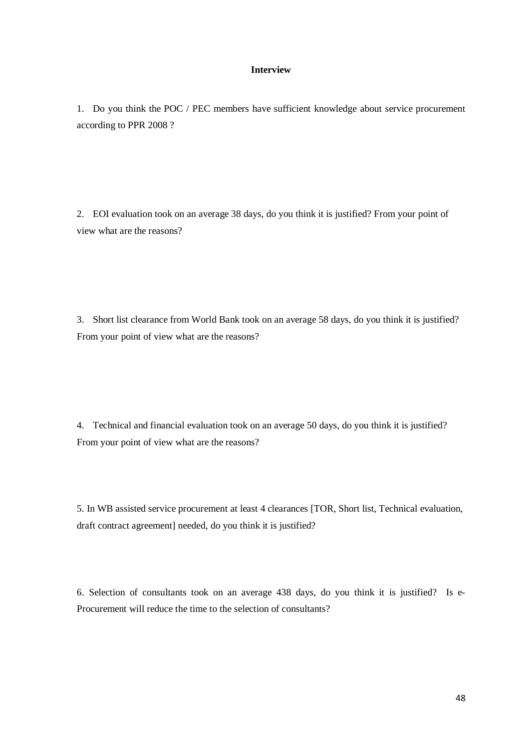#### **Interview**

1. Do you think the POC / PEC members have sufficient knowledge about service procurement according to PPR 2008 ?

2. EOI evaluation took on an average 38 days, do you think it is justified? From your point of view what are the reasons?

3. Short list clearance from World Bank took on an average 58 days, do you think it is justified? From your point of view what are the reasons?

4. Technical and financial evaluation took on an average 50 days, do you think it is justified? From your point of view what are the reasons?

5. In WB assisted service procurement at least 4 clearances [TOR, Short list, Technical evaluation, draft contract agreement] needed, do you think it is justified?

6. Selection of consultants took on an average 438 days, do you think it is justified? Is e-Procurement will reduce the time to the selection of consultants?